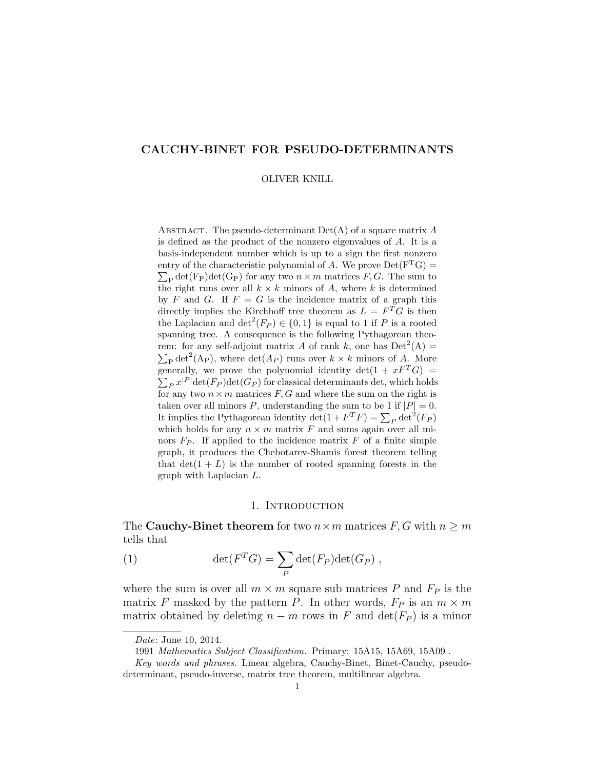# CAUCHY-BINET FOR PSEUDO-DETERMINANTS

#### OLIVER KNILL

ABSTRACT. The pseudo-determinant  $Det(A)$  of a square matrix A is defined as the product of the nonzero eigenvalues of A. It is a basis-independent number which is up to a sign the first nonzero entry of the characteristic polynomial of A. We prove  $Det(F<sup>T</sup>G)$  =  $\sum_{\rm P} \det(\mathbf{F}_{\rm P}) \det(\mathbf{G}_{\rm P})$  for any two  $n \times m$  matrices  $F, G$ . The sum to the right runs over all  $k \times k$  minors of A, where k is determined by F and G. If  $F = G$  is the incidence matrix of a graph this directly implies the Kirchhoff tree theorem as  $L = F<sup>T</sup>G$  is then the Laplacian and  $\det^2(F_P) \in \{0,1\}$  is equal to 1 if P is a rooted spanning tree. A consequence is the following Pythagorean theorem: for any self-adjoint matrix A of rank k, one has  $Det<sup>2</sup>(A) =$  $\sum_{\rm P} \det^2(A_{\rm P})$ , where  $\det(A_{\rm P})$  runs over  $k \times k$  minors of A. More generally, we prove the polynomial identity  $\det(1 + xF^{T}G) =$  $\sum_{P} x^{|P|} \det(F_P) \det(G_P)$  for classical determinants det, which holds for any two  $n \times m$  matrices  $F, G$  and where the sum on the right is taken over all minors P, understanding the sum to be 1 if  $|P| = 0$ . It implies the Pythagorean identity  $\det(1 + F^T F) = \sum_P \det^2(F_P)$ which holds for any  $n \times m$  matrix F and sums again over all minors  $F_P$ . If applied to the incidence matrix  $F$  of a finite simple graph, it produces the Chebotarev-Shamis forest theorem telling that  $\det(1 + L)$  is the number of rooted spanning forests in the graph with Laplacian L.

### 1. INTRODUCTION

The **Cauchy-Binet theorem** for two  $n \times m$  matrices  $F, G$  with  $n \geq m$ tells that

(1) 
$$
\det(F^T G) = \sum_P \det(F_P) \det(G_P) ,
$$

where the sum is over all  $m \times m$  square sub matrices P and  $F_P$  is the matrix F masked by the pattern P. In other words,  $F_P$  is an  $m \times m$ matrix obtained by deleting  $n - m$  rows in F and  $\det(F_P)$  is a minor

Date: June 10, 2014.

<sup>1991</sup> Mathematics Subject Classification. Primary: 15A15, 15A69, 15A09 .

Key words and phrases. Linear algebra, Cauchy-Binet, Binet-Cauchy, pseudodeterminant, pseudo-inverse, matrix tree theorem, multilinear algebra.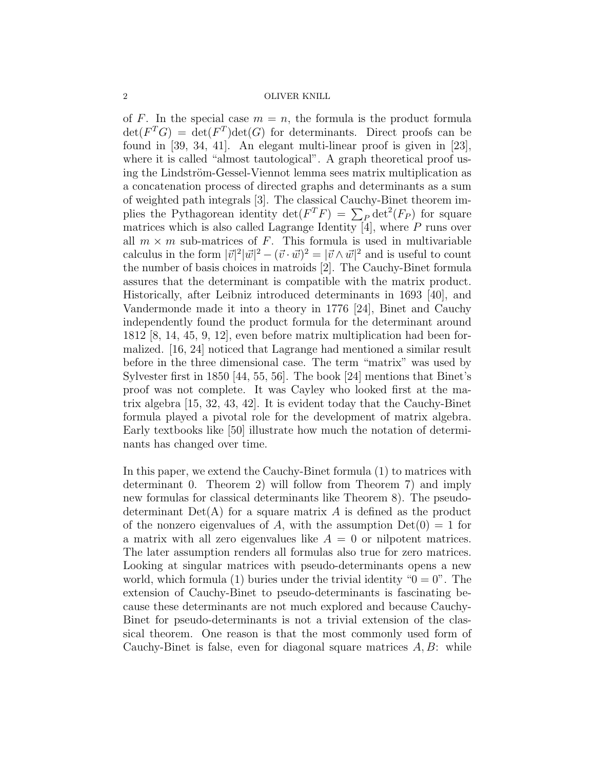of F. In the special case  $m = n$ , the formula is the product formula  $\det(F^T G) = \det(F^T) \det(G)$  for determinants. Direct proofs can be found in [39, 34, 41]. An elegant multi-linear proof is given in [23], where it is called "almost tautological". A graph theoretical proof using the Lindström-Gessel-Viennot lemma sees matrix multiplication as a concatenation process of directed graphs and determinants as a sum of weighted path integrals [3]. The classical Cauchy-Binet theorem implies the Pythagorean identity  $\det(F^T F) = \sum_P \det^2(F_P)$  for square matrices which is also called Lagrange Identity  $\overline{4}$ , where P runs over all  $m \times m$  sub-matrices of F. This formula is used in multivariable calculus in the form  $|\vec{v}|^2 |\vec{w}|^2 - (\vec{v} \cdot \vec{w})^2 = |\vec{v} \wedge \vec{w}|^2$  and is useful to count the number of basis choices in matroids [2]. The Cauchy-Binet formula assures that the determinant is compatible with the matrix product. Historically, after Leibniz introduced determinants in 1693 [40], and Vandermonde made it into a theory in 1776 [24], Binet and Cauchy independently found the product formula for the determinant around 1812 [8, 14, 45, 9, 12], even before matrix multiplication had been formalized. [16, 24] noticed that Lagrange had mentioned a similar result before in the three dimensional case. The term "matrix" was used by Sylvester first in 1850 [44, 55, 56]. The book [24] mentions that Binet's proof was not complete. It was Cayley who looked first at the matrix algebra [15, 32, 43, 42]. It is evident today that the Cauchy-Binet formula played a pivotal role for the development of matrix algebra. Early textbooks like [50] illustrate how much the notation of determinants has changed over time.

In this paper, we extend the Cauchy-Binet formula (1) to matrices with determinant 0. Theorem 2) will follow from Theorem 7) and imply new formulas for classical determinants like Theorem 8). The pseudodeterminant  $Det(A)$  for a square matrix A is defined as the product of the nonzero eigenvalues of A, with the assumption  $Det(0) = 1$  for a matrix with all zero eigenvalues like  $A = 0$  or nilpotent matrices. The later assumption renders all formulas also true for zero matrices. Looking at singular matrices with pseudo-determinants opens a new world, which formula (1) buries under the trivial identity " $0 = 0$ ". The extension of Cauchy-Binet to pseudo-determinants is fascinating because these determinants are not much explored and because Cauchy-Binet for pseudo-determinants is not a trivial extension of the classical theorem. One reason is that the most commonly used form of Cauchy-Binet is false, even for diagonal square matrices  $A, B$ : while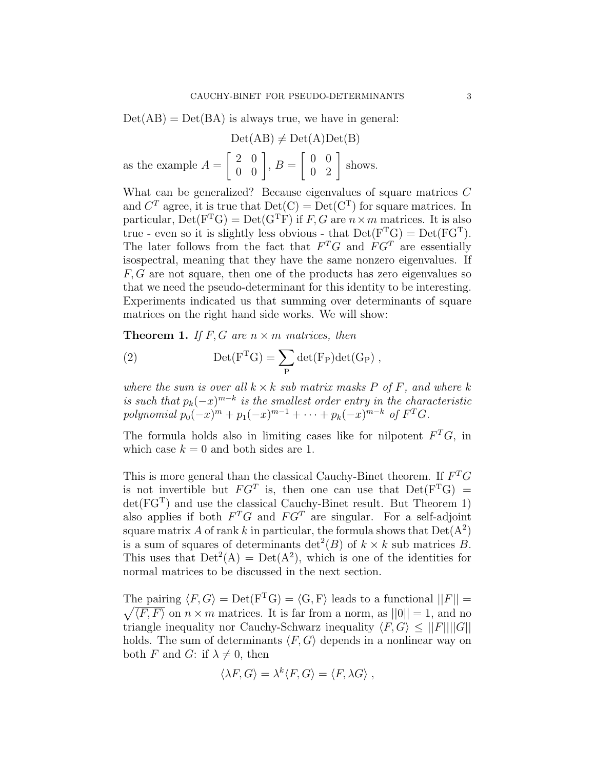$Det(AB) = Det(BA)$  is always true, we have in general:

$$
Det(AB) \neq Det(A)Det(B)
$$
  
as the example  $A = \begin{bmatrix} 2 & 0 \\ 0 & 0 \end{bmatrix}$ ,  $B = \begin{bmatrix} 0 & 0 \\ 0 & 2 \end{bmatrix}$  shows.

What can be generalized? Because eigenvalues of square matrices C and  $C<sup>T</sup>$  agree, it is true that  $Det(C) = Det(C<sup>T</sup>)$  for square matrices. In particular,  $Det(F<sup>T</sup>G) = Det(G<sup>T</sup>F)$  if F, G are  $n \times m$  matrices. It is also true - even so it is slightly less obvious - that  $Det(F<sup>T</sup>G) = Det(FG<sup>T</sup>)$ . The later follows from the fact that  $F^T G$  and  $F G^T$  are essentially isospectral, meaning that they have the same nonzero eigenvalues. If  $F, G$  are not square, then one of the products has zero eigenvalues so that we need the pseudo-determinant for this identity to be interesting. Experiments indicated us that summing over determinants of square matrices on the right hand side works. We will show:

**Theorem 1.** If F, G are  $n \times m$  matrices, then

(2) 
$$
Det(FTG) = \sum_{P} det(F_{P})det(G_{P}),
$$

where the sum is over all  $k \times k$  sub matrix masks P of F, and where k is such that  $p_k(-x)^{m-k}$  is the smallest order entry in the characteristic polynomial  $p_0(-x)^m + p_1(-x)^{m-1} + \cdots + p_k(-x)^{m-k}$  of  $F^T G$ .

The formula holds also in limiting cases like for nilpotent  $F^T G$ , in which case  $k = 0$  and both sides are 1.

This is more general than the classical Cauchy-Binet theorem. If  $F^T G$ is not invertible but  $FG^T$  is, then one can use that  $Det(F^TG)$  =  $det(FG<sup>T</sup>)$  and use the classical Cauchy-Binet result. But Theorem 1) also applies if both  $F^T G$  and  $F G^T$  are singular. For a self-adjoint square matrix A of rank k in particular, the formula shows that  $Det(A^2)$ is a sum of squares of determinants  $\det^2(B)$  of  $k \times k$  sub matrices B. This uses that  $Det^2(A) = Det(A^2)$ , which is one of the identities for normal matrices to be discussed in the next section.

The pairing  $\langle F, G \rangle = \text{Det}(F^{T}G) = \langle G, F \rangle$  leads to a functional  $||F|| =$  $\sqrt{\langle F, F \rangle}$  on  $n \times m$  matrices. It is far from a norm, as  $||0|| = 1$ , and no triangle inequality nor Cauchy-Schwarz inequality  $\langle F, G \rangle \leq ||F|| ||G||$ holds. The sum of determinants  $\langle F, G \rangle$  depends in a nonlinear way on both F and G: if  $\lambda \neq 0$ , then

$$
\langle \lambda F, G \rangle = \lambda^k \langle F, G \rangle = \langle F, \lambda G \rangle ,
$$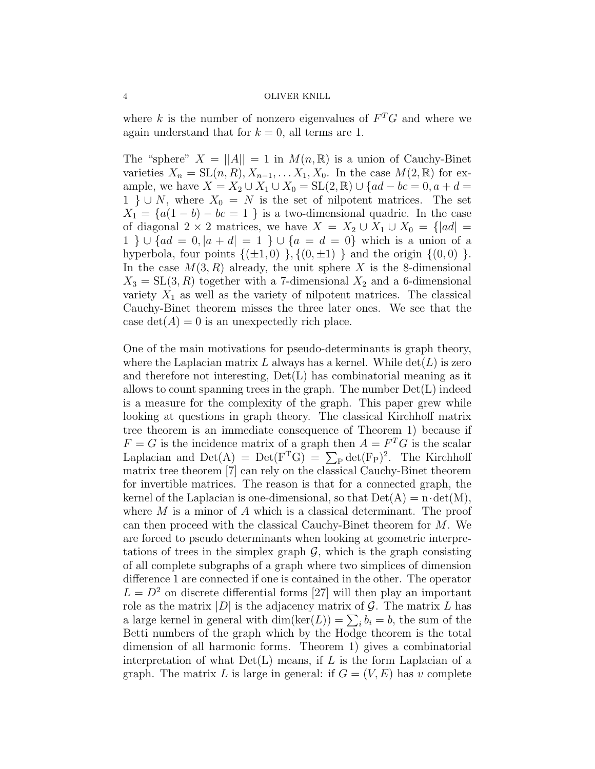where k is the number of nonzero eigenvalues of  $F^T G$  and where we again understand that for  $k = 0$ , all terms are 1.

The "sphere"  $X = ||A|| = 1$  in  $M(n, \mathbb{R})$  is a union of Cauchy-Binet varieties  $X_n = SL(n, R), X_{n-1}, \ldots, X_1, X_0$ . In the case  $M(2, \mathbb{R})$  for example, we have  $X = X_2 \cup X_1 \cup X_0 = SL(2, \mathbb{R}) \cup \{ad - bc = 0, a + d = 0\}$ 1 } ∪ N, where  $X_0 = N$  is the set of nilpotent matrices. The set  $X_1 = \{a(1 - b) - bc = 1\}$  is a two-dimensional quadric. In the case of diagonal 2 × 2 matrices, we have  $X = X_2 \cup X_1 \cup X_0 = \{ |ad| =$ 1 } ∪ { $ad = 0, |a + d| = 1$  } ∪ { $a = d = 0$ } which is a union of a hyperbola, four points  $\{(\pm 1, 0), \{(0, \pm 1)\}\$ and the origin  $\{(0, 0)\}\$ . In the case  $M(3, R)$  already, the unit sphere X is the 8-dimensional  $X_3 = SL(3, R)$  together with a 7-dimensional  $X_2$  and a 6-dimensional variety  $X_1$  as well as the variety of nilpotent matrices. The classical Cauchy-Binet theorem misses the three later ones. We see that the case  $\det(A) = 0$  is an unexpectedly rich place.

One of the main motivations for pseudo-determinants is graph theory, where the Laplacian matrix L always has a kernel. While  $\det(L)$  is zero and therefore not interesting,  $Det(L)$  has combinatorial meaning as it allows to count spanning trees in the graph. The number  $Det(L)$  indeed is a measure for the complexity of the graph. This paper grew while looking at questions in graph theory. The classical Kirchhoff matrix tree theorem is an immediate consequence of Theorem 1) because if  $F = G$  is the incidence matrix of a graph then  $A = F<sup>T</sup>G$  is the scalar Laplacian and  $Det(A) = Det(F<sup>T</sup>G) = \sum_{P} det(F_{P})^{2}$ . The Kirchhoff matrix tree theorem [7] can rely on the classical Cauchy-Binet theorem for invertible matrices. The reason is that for a connected graph, the kernel of the Laplacian is one-dimensional, so that  $Det(A) = n \cdot det(M)$ , where  $M$  is a minor of  $A$  which is a classical determinant. The proof can then proceed with the classical Cauchy-Binet theorem for M. We are forced to pseudo determinants when looking at geometric interpretations of trees in the simplex graph  $\mathcal{G}$ , which is the graph consisting of all complete subgraphs of a graph where two simplices of dimension difference 1 are connected if one is contained in the other. The operator  $L = D<sup>2</sup>$  on discrete differential forms [27] will then play an important role as the matrix  $|D|$  is the adjacency matrix of  $\mathcal G$ . The matrix L has a large kernel in general with  $\dim(\ker(L)) = \sum_i b_i = b$ , the sum of the Betti numbers of the graph which by the Hodge theorem is the total dimension of all harmonic forms. Theorem 1) gives a combinatorial interpretation of what  $Det(L)$  means, if L is the form Laplacian of a graph. The matrix L is large in general: if  $G = (V, E)$  has v complete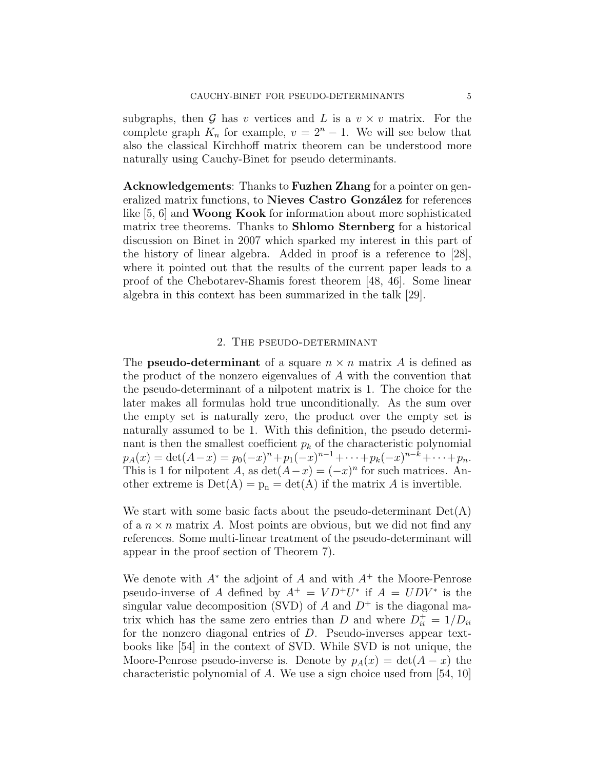subgraphs, then  $G$  has v vertices and L is a  $v \times v$  matrix. For the complete graph  $K_n$  for example,  $v = 2<sup>n</sup> - 1$ . We will see below that also the classical Kirchhoff matrix theorem can be understood more naturally using Cauchy-Binet for pseudo determinants.

Acknowledgements: Thanks to Fuzhen Zhang for a pointer on generalized matrix functions, to Nieves Castro González for references like [5, 6] and Woong Kook for information about more sophisticated matrix tree theorems. Thanks to Shlomo Sternberg for a historical discussion on Binet in 2007 which sparked my interest in this part of the history of linear algebra. Added in proof is a reference to [28], where it pointed out that the results of the current paper leads to a proof of the Chebotarev-Shamis forest theorem [48, 46]. Some linear algebra in this context has been summarized in the talk [29].

### 2. The pseudo-determinant

The **pseudo-determinant** of a square  $n \times n$  matrix A is defined as the product of the nonzero eigenvalues of A with the convention that the pseudo-determinant of a nilpotent matrix is 1. The choice for the later makes all formulas hold true unconditionally. As the sum over the empty set is naturally zero, the product over the empty set is naturally assumed to be 1. With this definition, the pseudo determinant is then the smallest coefficient  $p_k$  of the characteristic polynomial  $p_A(x) = \det(A-x) = p_0(-x)^n + p_1(-x)^{n-1} + \cdots + p_k(-x)^{n-k} + \cdots + p_n.$ This is 1 for nilpotent A, as  $\det(A-x) = (-x)^n$  for such matrices. Another extreme is  $Det(A) = p_n = det(A)$  if the matrix A is invertible.

We start with some basic facts about the pseudo-determinant  $Det(A)$ of a  $n \times n$  matrix A. Most points are obvious, but we did not find any references. Some multi-linear treatment of the pseudo-determinant will appear in the proof section of Theorem 7).

We denote with  $A^*$  the adjoint of A and with  $A^+$  the Moore-Penrose pseudo-inverse of A defined by  $A^+ = V D^+ U^*$  if  $A = U D V^*$  is the singular value decomposition (SVD) of A and  $D^+$  is the diagonal matrix which has the same zero entries than D and where  $D_{ii}^+ = 1/D_{ii}$ for the nonzero diagonal entries of D. Pseudo-inverses appear textbooks like [54] in the context of SVD. While SVD is not unique, the Moore-Penrose pseudo-inverse is. Denote by  $p_A(x) = \det(A - x)$  the characteristic polynomial of A. We use a sign choice used from  $[54, 10]$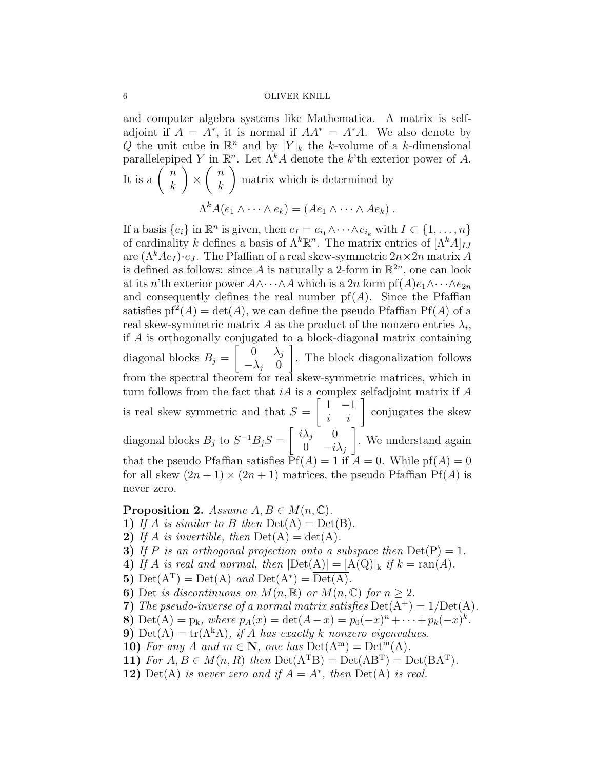and computer algebra systems like Mathematica. A matrix is selfadjoint if  $A = A^*$ , it is normal if  $AA^* = A^*A$ . We also denote by Q the unit cube in  $\mathbb{R}^n$  and by  $|Y|_k$  the k-volume of a k-dimensional parallelepiped Y in  $\mathbb{R}^n$ . Let  $\Lambda^k A$  denote the k'th exterior power of A. It is a  $\begin{pmatrix} n \\ n \end{pmatrix}$ k  $\setminus$ ×  $\left( n\right)$ k  $\setminus$ matrix which is determined by  $\Lambda^k A(e_1 \wedge \cdots \wedge e_k) = (Ae_1 \wedge \cdots \wedge Ae_k)$ .

If a basis  $\{e_i\}$  in  $\mathbb{R}^n$  is given, then  $e_I = e_{i_1} \wedge \cdots \wedge e_{i_k}$  with  $I \subset \{1, \ldots, n\}$ of cardinality k defines a basis of  $\Lambda^k \mathbb{R}^n$ . The matrix entries of  $[\Lambda^k A]_{IJ}$ are  $(\Lambda^k A e_I) \cdot e_J$ . The Pfaffian of a real skew-symmetric  $2n \times 2n$  matrix A is defined as follows: since A is naturally a 2-form in  $\mathbb{R}^{2n}$ , one can look at its n'th exterior power  $A \wedge \cdots \wedge A$  which is a 2n form pf $(A)e_1 \wedge \cdots \wedge e_{2n}$ and consequently defines the real number  $pf(A)$ . Since the Pfaffian satisfies  $pf^{2}(A) = det(A)$ , we can define the pseudo Pfaffian Pf(A) of a real skew-symmetric matrix A as the product of the nonzero entries  $\lambda_i$ , if A is orthogonally conjugated to a block-diagonal matrix containing diagonal blocks  $B_j =$  $\begin{bmatrix} 0 & \lambda_j \end{bmatrix}$  $-\lambda_j$  0 1 . The block diagonalization follows from the spectral theorem for real skew-symmetric matrices, which in turn follows from the fact that  $iA$  is a complex selfadjoint matrix if  $A$ is real skew symmetric and that  $S =$  $\begin{bmatrix} 1 & -1 \\ i & i \end{bmatrix}$  conjugates the skew diagonal blocks  $B_j$  to  $S^{-1}B_jS = \begin{bmatrix} i\lambda_j & 0 \\ 0 & i \end{bmatrix}$ 0  $-i\lambda_j$ 1 . We understand again that the pseudo Pfaffian satisfies  $Pf(A) = 1$  if  $A = 0$ . While  $pf(A) = 0$ for all skew  $(2n + 1) \times (2n + 1)$  matrices, the pseudo Pfaffian Pf(A) is never zero.

**Proposition 2.** Assume  $A, B \in M(n, \mathbb{C})$ .

- 1) If A is similar to B then  $Det(A) = Det(B)$ .
- 2) If A is invertible, then  $Det(A) = det(A)$ .
- 3) If P is an orthogonal projection onto a subspace then  $Det(P) = 1$ .
- 4) If A is real and normal, then  $|\text{Det}(A)| = |A(Q)|_k$  if  $k = \text{ran}(A)$ .
- 5)  $\mathrm{Det}(A^T) = \mathrm{Det}(A)$  and  $\mathrm{Det}(A^*) = \overline{\mathrm{Det}(A)}$ .
- 6) Det is discontinuous on  $M(n, \mathbb{R})$  or  $M(n, \mathbb{C})$  for  $n \geq 2$ .
- 7) The pseudo-inverse of a normal matrix satisfies  $Det(A^+) = 1/Det(A)$ .
- 8) Det(A) = p<sub>k</sub>, where  $p_A(x) = \det(A x) = p_0(-x)^n + \cdots + p_k(-x)^k$ .
- 9) Det(A) = tr( $\Lambda^k$ A), if A has exactly k nonzero eigenvalues.
- 10) For any A and  $m \in \mathbb{N}$ , one has  $Det(A^{m}) = Det^{m}(A)$ .
- 11) For  $A, B \in M(n, R)$  then  $Det(A^{T}B) = Det(AB^{T}) = Det(BA^{T}).$
- 12) Det(A) is never zero and if  $A = A^*$ , then Det(A) is real.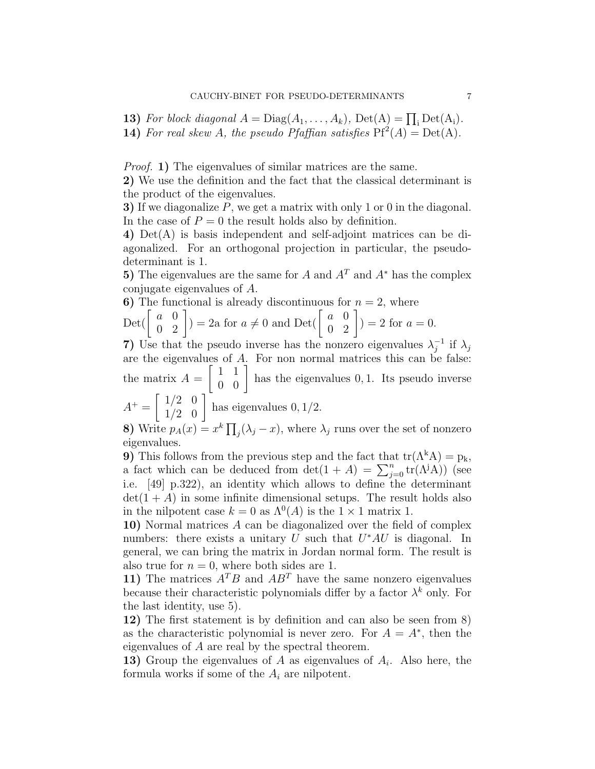**13)** For block diagonal  $A = \text{Diag}(A_1, \ldots, A_k)$ ,  $\text{Det}(A) = \prod_i \text{Det}(A_i)$ .

**14)** For real skew A, the pseudo Pfaffian satisfies  $Pf^{2}(A) = Det(A)$ .

Proof. 1) The eigenvalues of similar matrices are the same.

2) We use the definition and the fact that the classical determinant is the product of the eigenvalues.

3) If we diagonalize P, we get a matrix with only 1 or 0 in the diagonal. In the case of  $P = 0$  the result holds also by definition.

4) Det(A) is basis independent and self-adjoint matrices can be diagonalized. For an orthogonal projection in particular, the pseudodeterminant is 1.

5) The eigenvalues are the same for A and  $A<sup>T</sup>$  and  $A<sup>*</sup>$  has the complex conjugate eigenvalues of A.

6) The functional is already discontinuous for  $n = 2$ , where Det( $\begin{bmatrix} a & 0 \\ 0 & 2 \end{bmatrix}$ ) = 2a for  $a \neq 0$  and Det( $\begin{bmatrix} a & 0 \\ 0 & 2 \end{bmatrix}$ ) = 2 for  $a = 0$ .

7) Use that the pseudo inverse has the nonzero eigenvalues  $\lambda_i^{-1}$  $_j^{-1}$  if  $\lambda_j$ are the eigenvalues of A. For non normal matrices this can be false: the matrix  $A =$  $\begin{bmatrix} 1 & 1 \\ 0 & 0 \end{bmatrix}$  has the eigenvalues 0, 1. Its pseudo inverse  $\begin{bmatrix} 1/2 & 0 \end{bmatrix}$ 

$$
A^{+} = \begin{bmatrix} 1/2 & 0 \\ 1/2 & 0 \end{bmatrix}
$$
 has eigenvalues 0, 1/2.

8) Write  $p_A(x) = x^k \prod_j (\lambda_j - x)$ , where  $\lambda_j$  runs over the set of nonzero eigenvalues.

9) This follows from the previous step and the fact that  $tr(\Lambda^k A) = p_k$ , a fact which can be deduced from  $\det(1+A) = \sum_{j=0}^{n} \text{tr}(\Lambda^{j}A)$  (see i.e. [49] p.322), an identity which allows to define the determinant  $\det(1+A)$  in some infinite dimensional setups. The result holds also in the nilpotent case  $k = 0$  as  $\Lambda^{0}(A)$  is the  $1 \times 1$  matrix 1.

10) Normal matrices A can be diagonalized over the field of complex numbers: there exists a unitary  $U$  such that  $U^*AU$  is diagonal. In general, we can bring the matrix in Jordan normal form. The result is also true for  $n = 0$ , where both sides are 1.

11) The matrices  $A^T B$  and  $A B^T$  have the same nonzero eigenvalues because their characteristic polynomials differ by a factor  $\lambda^k$  only. For the last identity, use 5).

12) The first statement is by definition and can also be seen from 8) as the characteristic polynomial is never zero. For  $A = A^*$ , then the eigenvalues of A are real by the spectral theorem.

**13)** Group the eigenvalues of  $A$  as eigenvalues of  $A_i$ . Also here, the formula works if some of the  $A_i$  are nilpotent.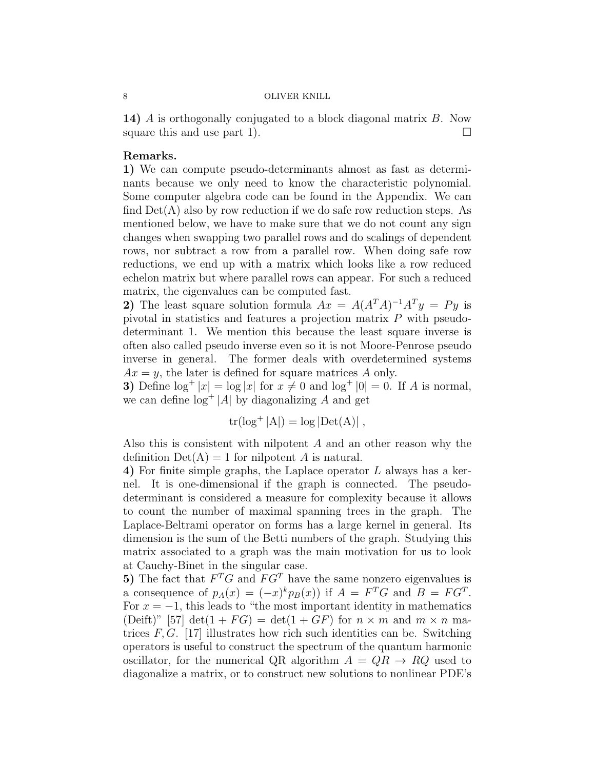14) A is orthogonally conjugated to a block diagonal matrix B. Now square this and use part 1).  $\Box$ 

# Remarks.

1) We can compute pseudo-determinants almost as fast as determinants because we only need to know the characteristic polynomial. Some computer algebra code can be found in the Appendix. We can find  $Det(A)$  also by row reduction if we do safe row reduction steps. As mentioned below, we have to make sure that we do not count any sign changes when swapping two parallel rows and do scalings of dependent rows, nor subtract a row from a parallel row. When doing safe row reductions, we end up with a matrix which looks like a row reduced echelon matrix but where parallel rows can appear. For such a reduced matrix, the eigenvalues can be computed fast.

2) The least square solution formula  $Ax = A(A^T A)^{-1} A^T y = Py$  is pivotal in statistics and features a projection matrix P with pseudodeterminant 1. We mention this because the least square inverse is often also called pseudo inverse even so it is not Moore-Penrose pseudo inverse in general. The former deals with overdetermined systems  $Ax = y$ , the later is defined for square matrices A only.

3) Define  $\log^+ |x| = \log |x|$  for  $x \neq 0$  and  $\log^+ |0| = 0$ . If A is normal, we can define  $\log^+|A|$  by diagonalizing A and get

$$
tr(\log^+|A|) = \log|\text{Det}(A)|,
$$

Also this is consistent with nilpotent A and an other reason why the definition  $Det(A) = 1$  for nilpotent A is natural.

4) For finite simple graphs, the Laplace operator L always has a kernel. It is one-dimensional if the graph is connected. The pseudodeterminant is considered a measure for complexity because it allows to count the number of maximal spanning trees in the graph. The Laplace-Beltrami operator on forms has a large kernel in general. Its dimension is the sum of the Betti numbers of the graph. Studying this matrix associated to a graph was the main motivation for us to look at Cauchy-Binet in the singular case.

5) The fact that  $F^T G$  and  $F G^T$  have the same nonzero eigenvalues is a consequence of  $p_A(x) = (-x)^k p_B(x)$  if  $A = F^T G$  and  $B = FG^T$ . For  $x = -1$ , this leads to "the most important identity in mathematics" (Deift)" [57] det(1 + FG) = det(1 + GF) for  $n \times m$  and  $m \times n$  matrices  $F, G$ . [17] illustrates how rich such identities can be. Switching operators is useful to construct the spectrum of the quantum harmonic oscillator, for the numerical QR algorithm  $A = QR \rightarrow RQ$  used to diagonalize a matrix, or to construct new solutions to nonlinear PDE's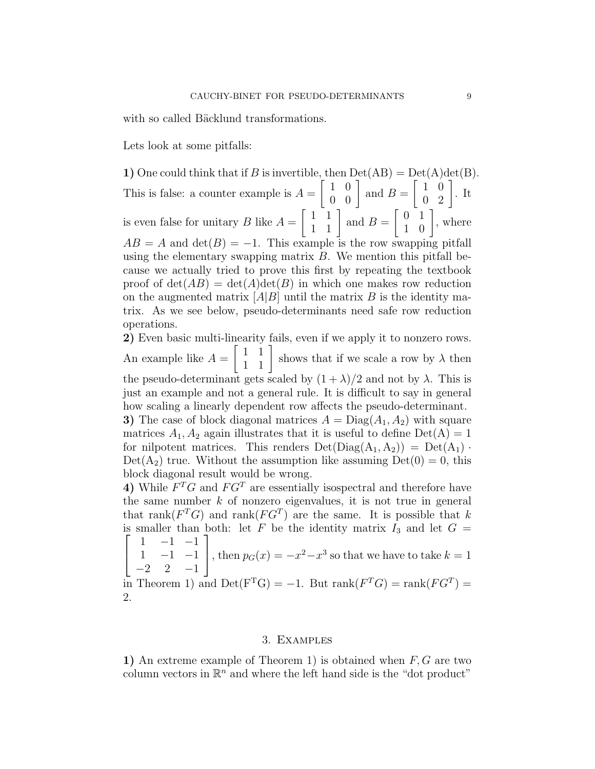with so called Bäcklund transformations.

Lets look at some pitfalls:

1) One could think that if B is invertible, then  $Det(AB) = Det(A)det(B)$ . This is false: a counter example is  $A =$  $\left[\begin{array}{cc} 1 & 0 \\ 0 & 0 \end{array}\right]$  and  $B =$  $\left[\begin{array}{cc} 1 & 0 \\ 0 & 2 \end{array}\right]$ . It is even false for unitary  $B$  like  $A =$  $\begin{bmatrix} 1 & 1 \\ 1 & 1 \end{bmatrix}$  and  $B =$  $\left[\begin{array}{cc} 0 & 1 \\ 1 & 0 \end{array}\right]$ , where  $AB = A$  and  $\det(B) = -1$ . This example is the row swapping pitfall using the elementary swapping matrix  $B$ . We mention this pitfall because we actually tried to prove this first by repeating the textbook proof of  $\det(AB) = \det(A)\det(B)$  in which one makes row reduction on the augmented matrix  $|A|B|$  until the matrix B is the identity matrix. As we see below, pseudo-determinants need safe row reduction operations.

2) Even basic multi-linearity fails, even if we apply it to nonzero rows. An example like  $A =$  $\begin{bmatrix} 1 & 1 \\ 1 & 1 \end{bmatrix}$  shows that if we scale a row by  $\lambda$  then the pseudo-determinant gets scaled by  $(1 + \lambda)/2$  and not by  $\lambda$ . This is just an example and not a general rule. It is difficult to say in general how scaling a linearly dependent row affects the pseudo-determinant. 3) The case of block diagonal matrices  $A = \text{Diag}(A_1, A_2)$  with square matrices  $A_1, A_2$  again illustrates that it is useful to define  $Det(A) = 1$ 

for nilpotent matrices. This renders  $Det(Diag(A_1, A_2)) = Det(A_1)$ .  $Det(A_2)$  true. Without the assumption like assuming  $Det(0) = 0$ , this block diagonal result would be wrong.

4) While  $F^T G$  and  $F G^T$  are essentially isospectral and therefore have the same number  $k$  of nonzero eigenvalues, it is not true in general that rank( $F^T G$ ) and rank( $F G^T$ ) are the same. It is possible that k is smaller than both: let F be the identity matrix  $I_3$  and let  $G =$  $\sqrt{ }$  $1 -1 -1$ ]

$$
\begin{vmatrix} 1 & -1 & -1 \\ -2 & 2 & -1 \end{vmatrix}
$$
, then  $p_G(x) = -x^2 - x^3$  so that we have to take  $k = 1$ 

in Theorem 1) and  $Det(F<sup>T</sup>G) = -1$ . But rank $(F<sup>T</sup>G) = rank(FG<sup>T</sup>) =$ 2.

### 3. Examples

1) An extreme example of Theorem 1) is obtained when  $F, G$  are two column vectors in  $\mathbb{R}^n$  and where the left hand side is the "dot product"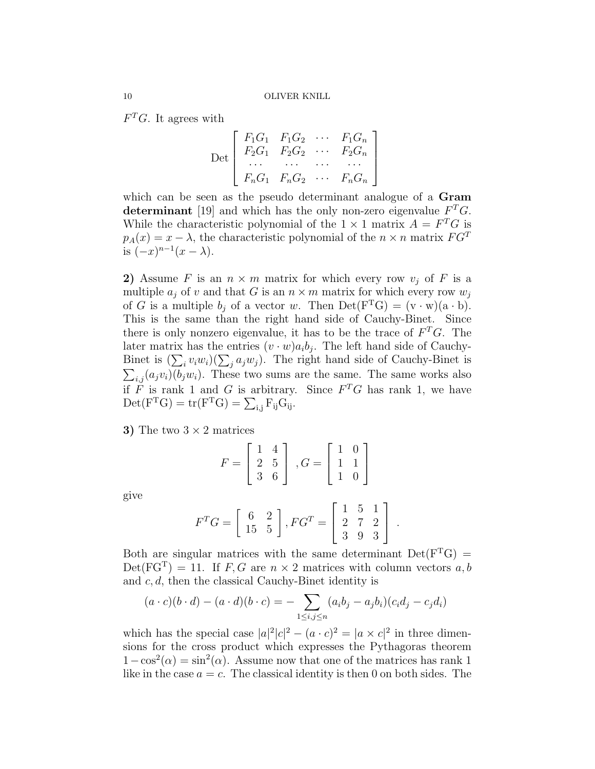$F<sup>T</sup>G$ . It agrees with

$$
\text{Det}\left[\begin{array}{cccc}F_1G_1 & F_1G_2 & \cdots & F_1G_n\\ F_2G_1 & F_2G_2 & \cdots & F_2G_n\\ \cdots & \cdots & \cdots & \cdots\\ F_nG_1 & F_nG_2 & \cdots & F_nG_n\end{array}\right]
$$

which can be seen as the pseudo determinant analogue of a Gram determinant [19] and which has the only non-zero eigenvalue  $F^T G$ . While the characteristic polynomial of the  $1 \times 1$  matrix  $A = F^T G$  is  $p_A(x) = x - \lambda$ , the characteristic polynomial of the  $n \times n$  matrix  $FG^T$ is  $(-x)^{n-1}(x-\lambda)$ .

2) Assume F is an  $n \times m$  matrix for which every row  $v_j$  of F is a multiple  $a_j$  of v and that G is an  $n \times m$  matrix for which every row  $w_j$ of G is a multiple  $b_i$  of a vector w. Then  $Det(F<sup>T</sup>G) = (v \cdot w)(a \cdot b)$ . This is the same than the right hand side of Cauchy-Binet. Since there is only nonzero eigenvalue, it has to be the trace of  $F^T G$ . The later matrix has the entries  $(v \cdot w)a_i b_j$ . The left hand side of Cauchy-Binet is  $(\sum_i v_i w_i)(\sum_j a_j w_j)$ . The right hand side of Cauchy-Binet is  $\sum_{i,j} (a_j v_i)(b_j w_i)$ . These two sums are the same. The same works also if F is rank 1 and G is arbitrary. Since  $F^T G$  has rank 1, we have  $\mathrm{Det}(\mathrm{F}^{\mathrm{T}}\mathrm{G}) = \mathrm{tr}(\mathrm{F}^{\mathrm{T}}\mathrm{G}) = \sum_{i,j} \mathrm{F}_{ij}\mathrm{G}_{ij}.$ 

3) The two  $3 \times 2$  matrices

$$
F = \begin{bmatrix} 1 & 4 \\ 2 & 5 \\ 3 & 6 \end{bmatrix}, G = \begin{bmatrix} 1 & 0 \\ 1 & 1 \\ 1 & 0 \end{bmatrix}
$$

give

$$
F^{T}G = \begin{bmatrix} 6 & 2 \\ 15 & 5 \end{bmatrix}, FG^{T} = \begin{bmatrix} 1 & 5 & 1 \\ 2 & 7 & 2 \\ 3 & 9 & 3 \end{bmatrix}.
$$

Both are singular matrices with the same determinant  $Det(F<sup>T</sup>G)$  =  $Det(FG<sup>T</sup>) = 11$ . If F, G are  $n \times 2$  matrices with column vectors a, b and  $c, d$ , then the classical Cauchy-Binet identity is

$$
(a \cdot c)(b \cdot d) - (a \cdot d)(b \cdot c) = - \sum_{1 \le i,j \le n} (a_i b_j - a_j b_i)(c_i d_j - c_j d_i)
$$

which has the special case  $|a|^2|c|^2 - (a \cdot c)^2 = |a \times c|^2$  in three dimensions for the cross product which expresses the Pythagoras theorem  $1-\cos^2(\alpha) = \sin^2(\alpha)$ . Assume now that one of the matrices has rank 1 like in the case  $a = c$ . The classical identity is then 0 on both sides. The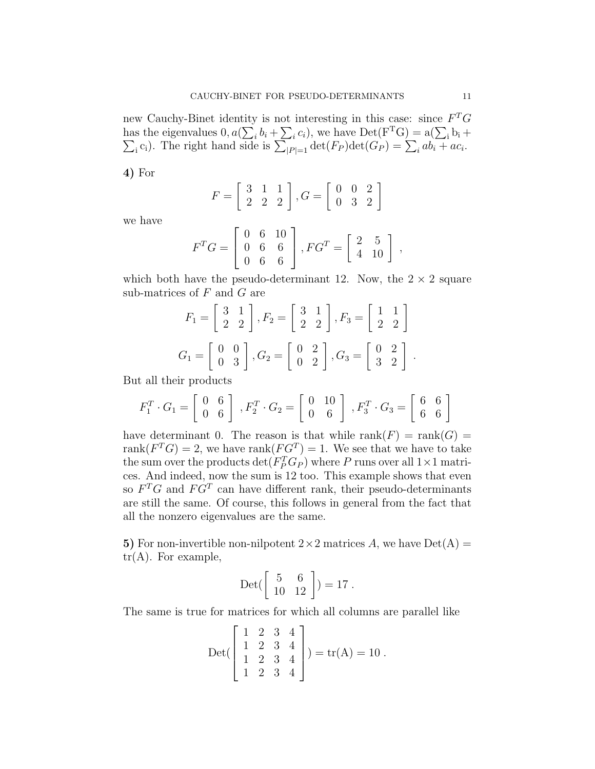new Cauchy-Binet identity is not interesting in this case: since  $F^T G$ has the eigenvalues  $0, a(\sum_i b_i + \sum_i c_i)$ , we have  $Det(F<sup>T</sup>G) = a(\sum_i \sum_i c_i)$ . The right hand side is  $\sum_{|P|=1} det(F_P) det(G_P) = \sum_i ab_i +$  $b_i +$ <sub>i</sub>c<sub>i</sub>). The right hand side is  $\sum_{|P|=1} \det(F_P) \det(G_P) = \sum_i ab_i + ac_i$ .

4) For

$$
F = \left[ \begin{array}{rrr} 3 & 1 & 1 \\ 2 & 2 & 2 \end{array} \right], G = \left[ \begin{array}{rrr} 0 & 0 & 2 \\ 0 & 3 & 2 \end{array} \right]
$$

we have

$$
F^{T}G = \left[ \begin{array}{ccc} 0 & 6 & 10 \\ 0 & 6 & 6 \\ 0 & 6 & 6 \end{array} \right], FG^{T} = \left[ \begin{array}{ccc} 2 & 5 \\ 4 & 10 \end{array} \right] ,
$$

which both have the pseudo-determinant 12. Now, the  $2 \times 2$  square sub-matrices of  $F$  and  $G$  are

$$
F_1 = \begin{bmatrix} 3 & 1 \\ 2 & 2 \end{bmatrix}, F_2 = \begin{bmatrix} 3 & 1 \\ 2 & 2 \end{bmatrix}, F_3 = \begin{bmatrix} 1 & 1 \\ 2 & 2 \end{bmatrix}
$$

$$
G_1 = \begin{bmatrix} 0 & 0 \\ 0 & 3 \end{bmatrix}, G_2 = \begin{bmatrix} 0 & 2 \\ 0 & 2 \end{bmatrix}, G_3 = \begin{bmatrix} 0 & 2 \\ 3 & 2 \end{bmatrix}.
$$

But all their products

$$
F_1^T \cdot G_1 = \begin{bmatrix} 0 & 6 \\ 0 & 6 \end{bmatrix}, F_2^T \cdot G_2 = \begin{bmatrix} 0 & 10 \\ 0 & 6 \end{bmatrix}, F_3^T \cdot G_3 = \begin{bmatrix} 6 & 6 \\ 6 & 6 \end{bmatrix}
$$

have determinant 0. The reason is that while  $rank(F) = rank(G)$ rank $(F^T G) = 2$ , we have rank $(F G^T) = 1$ . We see that we have to take the sum over the products  $\det(F_P^T G_P)$  where P runs over all  $1 \times 1$  matrices. And indeed, now the sum is 12 too. This example shows that even so  $F^T G$  and  $F G^T$  can have different rank, their pseudo-determinants are still the same. Of course, this follows in general from the fact that all the nonzero eigenvalues are the same.

5) For non-invertible non-nilpotent  $2 \times 2$  matrices A, we have  $Det(A) =$  $tr(A)$ . For example,

$$
Det\begin{pmatrix} 5 & 6 \\ 10 & 12 \end{pmatrix} = 17.
$$

The same is true for matrices for which all columns are parallel like

$$
Det\begin{bmatrix} 1 & 2 & 3 & 4 \\ 1 & 2 & 3 & 4 \\ 1 & 2 & 3 & 4 \\ 1 & 2 & 3 & 4 \end{bmatrix} = tr(A) = 10.
$$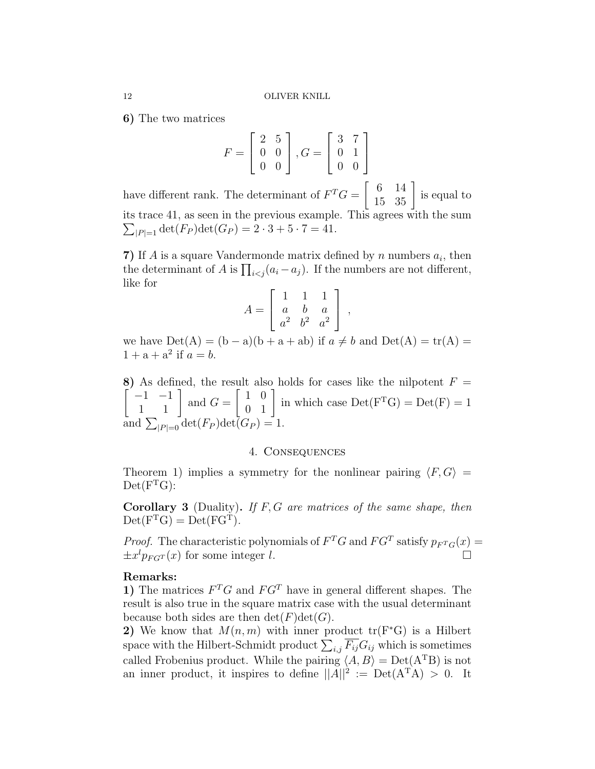6) The two matrices

$$
F = \begin{bmatrix} 2 & 5 \\ 0 & 0 \\ 0 & 0 \end{bmatrix}, G = \begin{bmatrix} 3 & 7 \\ 0 & 1 \\ 0 & 0 \end{bmatrix}
$$

have different rank. The determinant of  $F^T G = \begin{bmatrix} 6 & 14 \\ 15 & 35 \end{bmatrix}$  is equal to its trace 41, as seen in the previous example. This agrees with the sum  $\sum_{|P|=1} \det(F_P) \det(G_P) = 2 \cdot 3 + 5 \cdot 7 = 41.$ 

7) If A is a square Vandermonde matrix defined by  $n$  numbers  $a_i$ , then the determinant of A is  $\prod_{i < j} (a_i - a_j)$ . If the numbers are not different, like for

$$
A = \left[ \begin{array}{ccc} 1 & 1 & 1 \\ a & b & a \\ a^2 & b^2 & a^2 \end{array} \right] ,
$$

we have  $Det(A) = (b - a)(b + a + ab)$  if  $a \neq b$  and  $Det(A) = tr(A)$  $1 + a + a^2$  if  $a = b$ .

8) As defined, the result also holds for cases like the nilpotent  $F =$  $\left[\begin{array}{cc} -1 & -1 \\ 1 & 1 \end{array}\right]$  and  $G =$  $\begin{bmatrix} 1 & 0 \\ 0 & 1 \end{bmatrix}$  in which case  $Det(F<sup>T</sup>G) = Det(F) = 1$ and  $\sum_{|P|=0} \det(F_P) \det(G_P) = 1.$ 

### 4. Consequences

Theorem 1) implies a symmetry for the nonlinear pairing  $\langle F, G \rangle =$  $Det(F<sup>T</sup>G)$ :

**Corollary 3** (Duality). If  $F, G$  are matrices of the same shape, then  $Det(F<sup>T</sup>G) = Det(FG<sup>T</sup>).$ 

*Proof.* The characteristic polynomials of  $F^T G$  and  $F G^T$  satisfy  $p_{F^T G}(x) =$  $\pm x^l p_{FGT}(x)$  for some integer l.

# Remarks:

1) The matrices  $F^T G$  and  $F G^T$  have in general different shapes. The result is also true in the square matrix case with the usual determinant because both sides are then  $\det(F)\det(G)$ .

2) We know that  $M(n, m)$  with inner product  $tr(F^*G)$  is a Hilbert space with the Hilbert-Schmidt product  $\sum_{i,j} \overline{F_{ij}} G_{ij}$  which is sometimes called Frobenius product. While the pairing  $\langle A, B \rangle = \text{Det}(A^{T}B)$  is not an inner product, it inspires to define  $||A||^2 := Det(A^TA) > 0$ . It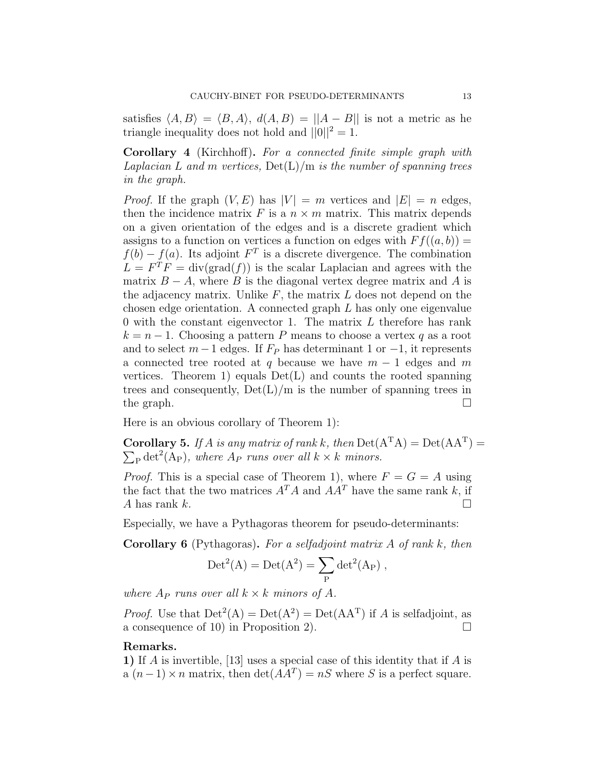satisfies  $\langle A, B \rangle = \langle B, A \rangle$ ,  $d(A, B) = ||A - B||$  is not a metric as he triangle inequality does not hold and  $||0||^2 = 1$ .

Corollary 4 (Kirchhoff). For a connected finite simple graph with Laplacian L and m vertices,  $Det(L)/m$  is the number of spanning trees in the graph.

*Proof.* If the graph  $(V, E)$  has  $|V| = m$  vertices and  $|E| = n$  edges, then the incidence matrix F is a  $n \times m$  matrix. This matrix depends on a given orientation of the edges and is a discrete gradient which assigns to a function on vertices a function on edges with  $F f((a, b)) =$  $f(b) - f(a)$ . Its adjoint  $F<sup>T</sup>$  is a discrete divergence. The combination  $L = F^{T} F = \text{div}(\text{grad}(f))$  is the scalar Laplacian and agrees with the matrix  $B - A$ , where B is the diagonal vertex degree matrix and A is the adjacency matrix. Unlike  $F$ , the matrix  $L$  does not depend on the chosen edge orientation. A connected graph L has only one eigenvalue 0 with the constant eigenvector 1. The matrix L therefore has rank  $k = n - 1$ . Choosing a pattern P means to choose a vertex q as a root and to select  $m-1$  edges. If  $F_P$  has determinant 1 or  $-1$ , it represents a connected tree rooted at q because we have  $m - 1$  edges and m vertices. Theorem 1) equals  $Det(L)$  and counts the rooted spanning trees and consequently,  $Det(L)/m$  is the number of spanning trees in the graph.  $\Box$ 

Here is an obvious corollary of Theorem 1):

**Corollary 5.** If A is any matrix of rank k, then  $Det(A^{T}A) = Det(AA^{T}) =$  $\sum_{\rm P} \det^2(A_{\rm P})$ , where  $A_{P}$  runs over all  $k \times k$  minors.

*Proof.* This is a special case of Theorem 1), where  $F = G = A$  using the fact that the two matrices  $A^T A$  and  $A A^T$  have the same rank k, if A has rank k.  $\square$ 

Especially, we have a Pythagoras theorem for pseudo-determinants:

Corollary 6 (Pythagoras). For a selfadjoint matrix A of rank k, then

$$
\mathrm{Det}^2(A)=\mathrm{Det}(A^2)=\sum_P\mathrm{det}^2(A_P)\;,
$$

where  $A_P$  runs over all  $k \times k$  minors of A.

*Proof.* Use that  $Det^2(A) = Det(A^2) = Det(AA^T)$  if A is selfadjoint, as a consequence of 10) in Proposition 2).  $\Box$ 

# Remarks.

1) If A is invertible, [13] uses a special case of this identity that if A is a  $(n-1) \times n$  matrix, then  $\det(AA^T) = nS$  where S is a perfect square.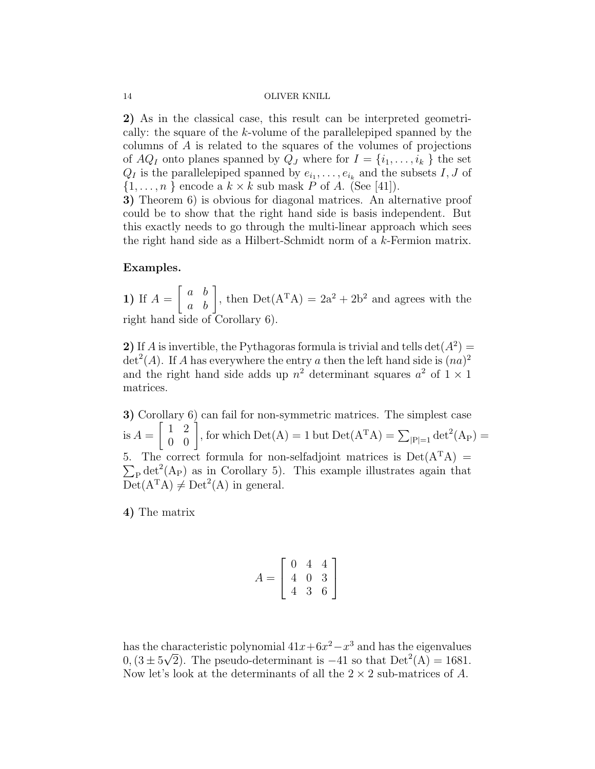2) As in the classical case, this result can be interpreted geometrically: the square of the k-volume of the parallelepiped spanned by the columns of A is related to the squares of the volumes of projections of  $AQ_I$  onto planes spanned by  $Q_J$  where for  $I = \{i_1, \ldots, i_k\}$  the set  $Q_I$  is the parallelepiped spanned by  $e_{i_1}, \ldots, e_{i_k}$  and the subsets  $I, J$  of  $\{1, \ldots, n\}$  encode a  $k \times k$  sub mask P of A. (See [41]).

3) Theorem 6) is obvious for diagonal matrices. An alternative proof could be to show that the right hand side is basis independent. But this exactly needs to go through the multi-linear approach which sees the right hand side as a Hilbert-Schmidt norm of a k-Fermion matrix.

# Examples.

1) If  $A=$  $\begin{bmatrix} a & b \\ a & b \end{bmatrix}$ , then  $Det(A^{T}A) = 2a^{2} + 2b^{2}$  and agrees with the right hand side of Corollary 6).

2) If A is invertible, the Pythagoras formula is trivial and tells  $\det(A^2)$  =  $\det^2(A)$ . If A has everywhere the entry a then the left hand side is  $(na)^2$ and the right hand side adds up  $n^2$  determinant squares  $a^2$  of  $1 \times 1$ matrices.

3) Corollary 6) can fail for non-symmetric matrices. The simplest case is  $A =$  $\begin{bmatrix} 1 & 2 \\ 0 & 0 \end{bmatrix}$ , for which  $Det(A) = 1$  but  $Det(A^{T}A) = \sum_{|P|=1} det^{2}(A_{P}) =$ 5. The correct formula for non-selfadjoint matrices is  $Det(A<sup>T</sup>A)$  =  $\sum_{P} det^{2}(A_{P})$  as in Corollary 5). This example illustrates again that  $Det(A<sup>T</sup>A) \neq Det<sup>2</sup>(A)$  in general.

4) The matrix

$$
A = \left[ \begin{array}{rrr} 0 & 4 & 4 \\ 4 & 0 & 3 \\ 4 & 3 & 6 \end{array} \right]
$$

has the characteristic polynomial  $41x+6x^2-x^3$  and has the eigenvalues  $0$ ,  $(3 \pm 5\sqrt{2})$ . The pseudo-determinant is  $-41$  so that  $Det^2(A) = 1681$ . Now let's look at the determinants of all the  $2 \times 2$  sub-matrices of A.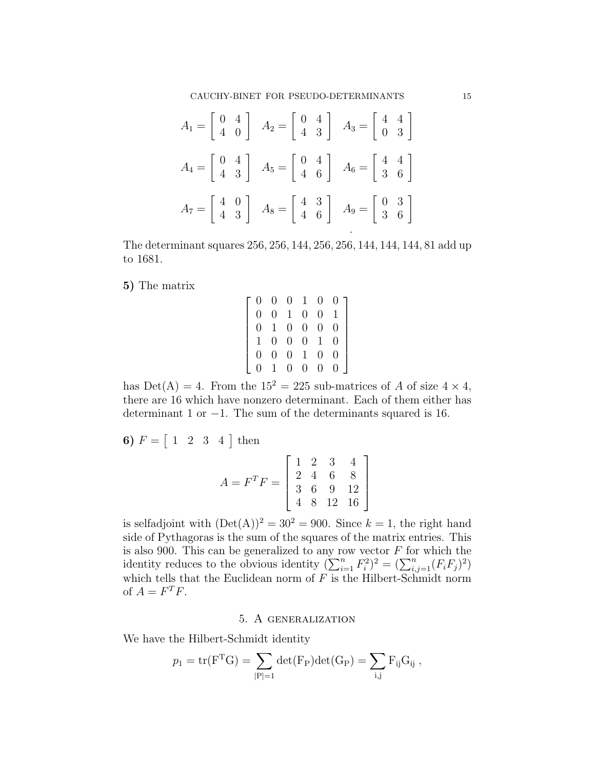CAUCHY-BINET FOR PSEUDO-DETERMINANTS 15

$$
A_1 = \begin{bmatrix} 0 & 4 \\ 4 & 0 \end{bmatrix} \quad A_2 = \begin{bmatrix} 0 & 4 \\ 4 & 3 \end{bmatrix} \quad A_3 = \begin{bmatrix} 4 & 4 \\ 0 & 3 \end{bmatrix}
$$

$$
A_4 = \begin{bmatrix} 0 & 4 \\ 4 & 3 \end{bmatrix} \quad A_5 = \begin{bmatrix} 0 & 4 \\ 4 & 6 \end{bmatrix} \quad A_6 = \begin{bmatrix} 4 & 4 \\ 3 & 6 \end{bmatrix}
$$

$$
A_7 = \begin{bmatrix} 4 & 0 \\ 4 & 3 \end{bmatrix} \quad A_8 = \begin{bmatrix} 4 & 3 \\ 4 & 6 \end{bmatrix} \quad A_9 = \begin{bmatrix} 0 & 3 \\ 3 & 6 \end{bmatrix}
$$

The determinant squares 256, 256, 144, 256, 256, 144, 144, 144, 81 add up to 1681.

5) The matrix

$$
\left[\begin{array}{cccccc} 0 & 0 & 0 & 1 & 0 & 0 \\ 0 & 0 & 1 & 0 & 0 & 1 \\ 0 & 1 & 0 & 0 & 0 & 0 \\ 1 & 0 & 0 & 0 & 1 & 0 \\ 0 & 0 & 0 & 1 & 0 & 0 \\ 0 & 1 & 0 & 0 & 0 & 0 \end{array}\right]
$$

has  $Det(A) = 4$ . From the  $15^2 = 225$  sub-matrices of A of size  $4 \times 4$ , there are 16 which have nonzero determinant. Each of them either has determinant 1 or −1. The sum of the determinants squared is 16.

1

 $\overline{1}$  $\overline{1}$  $\overline{1}$ 

**6)** 
$$
F = \begin{bmatrix} 1 & 2 & 3 & 4 \end{bmatrix}
$$
 then  
\n
$$
A = F^{T}F = \begin{bmatrix} 1 & 2 & 3 & 4 \\ 2 & 4 & 6 & 8 \\ 3 & 6 & 9 & 12 \\ 4 & 8 & 12 & 16 \end{bmatrix}
$$
\n
$$
\vdots \quad \text{or} \quad \begin{bmatrix} 1 & 2 & 3 & 4 \\ 2 & 4 & 6 & 8 \\ 4 & 8 & 12 & 16 \end{bmatrix}
$$

is selfadjoint with  $(Det(A))^2 = 30^2 = 900$ . Since  $k = 1$ , the right hand side of Pythagoras is the sum of the squares of the matrix entries. This is also 900. This can be generalized to any row vector  $F$  for which the identity reduces to the obvious identity  $(\sum_{i=1}^n F_i^2)^2 = (\sum_{i,j=1}^n (F_i F_j)^2)$ which tells that the Euclidean norm of  $F$  is the Hilbert-Schmidt norm of  $A = F^T F$ .

# 5. A generalization

We have the Hilbert-Schmidt identity

$$
p_1 = \text{tr}(F^T G) = \sum_{|P|=1} \det(F_P) \det(G_P) = \sum_{i,j} F_{ij} G_{ij} ,
$$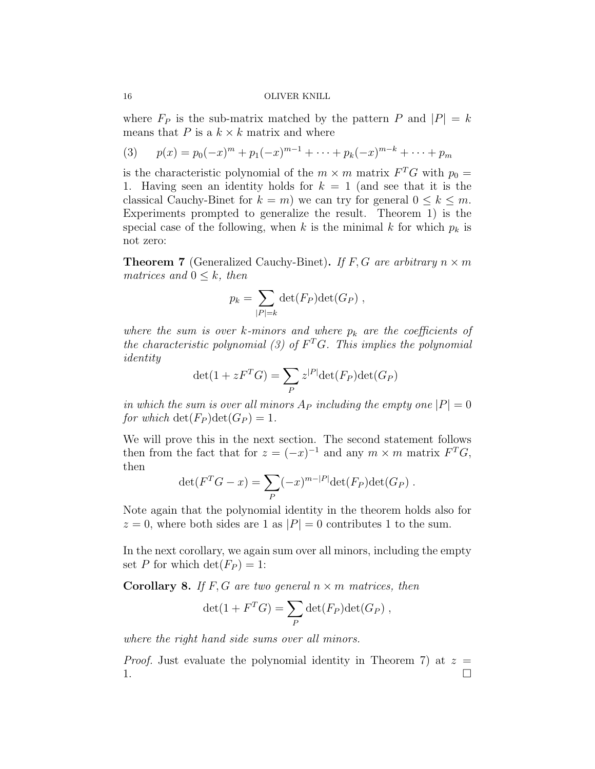where  $F_P$  is the sub-matrix matched by the pattern P and  $|P| = k$ means that P is a  $k \times k$  matrix and where

(3) 
$$
p(x) = p_0(-x)^m + p_1(-x)^{m-1} + \dots + p_k(-x)^{m-k} + \dots + p_m
$$

is the characteristic polynomial of the  $m \times m$  matrix  $F^T G$  with  $p_0 =$ 1. Having seen an identity holds for  $k = 1$  (and see that it is the classical Cauchy-Binet for  $k = m$ ) we can try for general  $0 \leq k \leq m$ . Experiments prompted to generalize the result. Theorem 1) is the special case of the following, when k is the minimal k for which  $p_k$  is not zero:

**Theorem 7** (Generalized Cauchy-Binet). If F, G are arbitrary  $n \times m$ matrices and  $0 \leq k$ , then

$$
p_k = \sum_{|P|=k} \det(F_P) \det(G_P) ,
$$

where the sum is over k-minors and where  $p_k$  are the coefficients of the characteristic polynomial (3) of  $F^T G$ . This implies the polynomial identity

$$
\det(1 + zF^{T}G) = \sum_{P} z^{|P|} \det(F_{P}) \det(G_{P})
$$

in which the sum is over all minors  $A_P$  including the empty one  $|P| = 0$ for which  $\det(F_P) \det(G_P) = 1$ .

We will prove this in the next section. The second statement follows then from the fact that for  $z = (-x)^{-1}$  and any  $m \times m$  matrix  $F^{T}G$ , then

$$
\det(F^T G - x) = \sum_P (-x)^{m-|P|} \det(F_P) \det(G_P) .
$$

Note again that the polynomial identity in the theorem holds also for  $z = 0$ , where both sides are 1 as  $|P| = 0$  contributes 1 to the sum.

In the next corollary, we again sum over all minors, including the empty set P for which  $\det(F_P) = 1$ :

**Corollary 8.** If F, G are two general  $n \times m$  matrices, then

$$
\det(1 + F^T G) = \sum_P \det(F_P) \det(G_P) ,
$$

where the right hand side sums over all minors.

*Proof.* Just evaluate the polynomial identity in Theorem 7) at  $z =$ 1. The contract of the contract of  $\Box$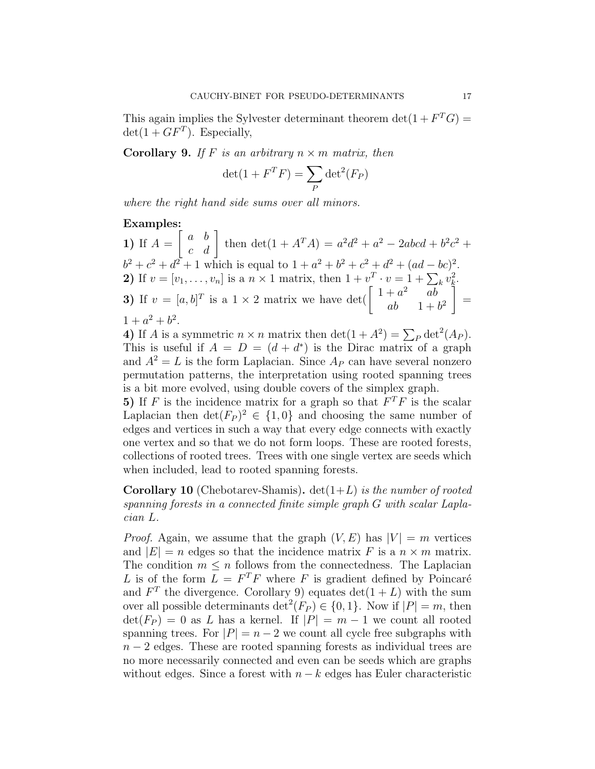This again implies the Sylvester determinant theorem  $\det(1 + F^T G) =$  $\det(1+GF^T)$ . Especially,

**Corollary 9.** If F is an arbitrary  $n \times m$  matrix, then

$$
\det(1 + F^T F) = \sum_P \det^2(F_P)
$$

where the right hand side sums over all minors.

### Examples:

1) If  $A=$  $\begin{bmatrix} a & b \\ c & d \end{bmatrix}$  then  $\det(1 + A^T A) = a^2 d^2 + a^2 - 2abcd + b^2 c^2 +$  $b^2 + c^2 + d^2 + 1$  which is equal to  $1 + a^2 + b^2 + c^2 + d^2 + (ad - bc)^2$ . 2) If  $v = [v_1, ..., v_n]$  is a  $n \times 1$  matrix, then  $1 + v^T \cdot v = 1 + \sum_k v_k^2$ . 3) If  $v = [a, b]^T$  is a  $1 \times 2$  matrix we have det( $\begin{bmatrix} 1 + a^2 & ab \end{bmatrix}$ ab  $1 + b^2$ 1 =  $1 + a^2 + b^2$ .

4) If A is a symmetric  $n \times n$  matrix then  $\det(1 + A^2) = \sum_P \det^2(A_P)$ . This is useful if  $A = D = (d + d^*)$  is the Dirac matrix of a graph and  $A^2 = L$  is the form Laplacian. Since  $A_P$  can have several nonzero permutation patterns, the interpretation using rooted spanning trees is a bit more evolved, using double covers of the simplex graph.

5) If F is the incidence matrix for a graph so that  $F^T F$  is the scalar Laplacian then  $\det(F_P)^2 \in \{1,0\}$  and choosing the same number of edges and vertices in such a way that every edge connects with exactly one vertex and so that we do not form loops. These are rooted forests, collections of rooted trees. Trees with one single vertex are seeds which when included, lead to rooted spanning forests.

**Corollary 10** (Chebotarev-Shamis).  $det(1+L)$  is the number of rooted spanning forests in a connected finite simple graph G with scalar Laplacian L.

*Proof.* Again, we assume that the graph  $(V, E)$  has  $|V| = m$  vertices and  $|E| = n$  edges so that the incidence matrix F is a  $n \times m$  matrix. The condition  $m \leq n$  follows from the connectedness. The Laplacian L is of the form  $L = F^T F$  where F is gradient defined by Poincaré and  $F<sup>T</sup>$  the divergence. Corollary 9) equates det(1 + L) with the sum over all possible determinants  $\det^2(F_P) \in \{0, 1\}$ . Now if  $|P| = m$ , then  $\det(F_P) = 0$  as L has a kernel. If  $|P| = m - 1$  we count all rooted spanning trees. For  $|P| = n - 2$  we count all cycle free subgraphs with  $n-2$  edges. These are rooted spanning forests as individual trees are no more necessarily connected and even can be seeds which are graphs without edges. Since a forest with  $n - k$  edges has Euler characteristic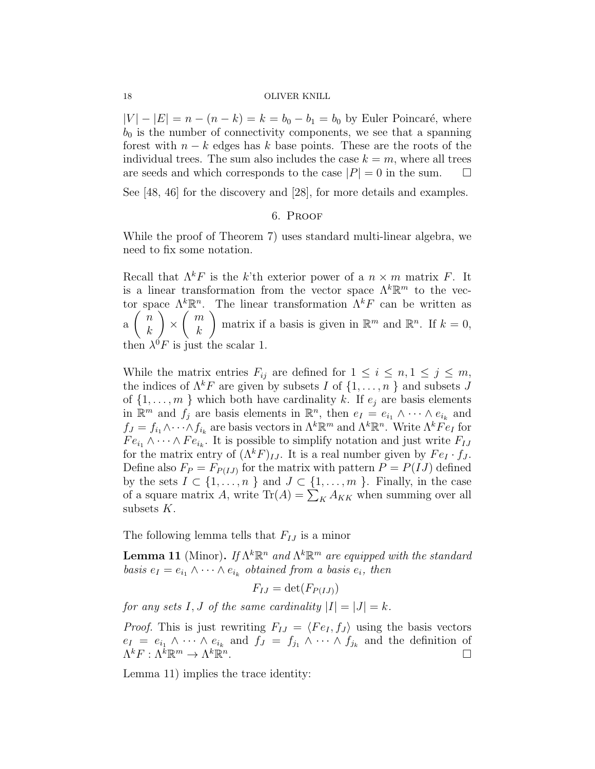$|V| - |E| = n - (n - k) = k = b_0 - b_1 = b_0$  by Euler Poincaré, where  $b_0$  is the number of connectivity components, we see that a spanning forest with  $n - k$  edges has k base points. These are the roots of the individual trees. The sum also includes the case  $k = m$ , where all trees are seeds and which corresponds to the case  $|P| = 0$  in the sum.  $\Box$ 

See [48, 46] for the discovery and [28], for more details and examples.

### 6. Proof

While the proof of Theorem 7) uses standard multi-linear algebra, we need to fix some notation.

Recall that  $\Lambda^k F$  is the k'th exterior power of a  $n \times m$  matrix F. It is a linear transformation from the vector space  $\Lambda^k \mathbb{R}^m$  to the vector space  $\Lambda^k \mathbb{R}^n$ . The linear transformation  $\Lambda^k F$  can be written as a  $\left( n\right)$ k  $\setminus$ ×  $\left( m\right)$ k ) matrix if a basis is given in  $\mathbb{R}^m$  and  $\mathbb{R}^n$ . If  $k = 0$ , then  $\lambda^0 F$  is just the scalar 1.

While the matrix entries  $F_{ij}$  are defined for  $1 \leq i \leq n, 1 \leq j \leq m$ , the indices of  $\Lambda^k F$  are given by subsets I of  $\{1, \ldots, n\}$  and subsets J of  $\{1, \ldots, m\}$  which both have cardinality k. If  $e_j$  are basis elements in  $\mathbb{R}^m$  and  $f_j$  are basis elements in  $\mathbb{R}^n$ , then  $e_I = e_{i_1} \wedge \cdots \wedge e_{i_k}$  and  $f_J = f_{i_1} \wedge \cdots \wedge f_{i_k}$  are basis vectors in  $\Lambda^k \mathbb{R}^m$  and  $\Lambda^k \mathbb{R}^n$ . Write  $\Lambda^k \tilde{Fe}_I$  for  $Fe_{i_1} \wedge \cdots \wedge Fe_{i_k}$ . It is possible to simplify notation and just write  $F_{IJ}$ for the matrix entry of  $(\Lambda^k F)_{IJ}$ . It is a real number given by  $Fe_I \cdot f_J$ . Define also  $F_P = F_{P(I,J)}$  for the matrix with pattern  $P = P(IJ)$  defined by the sets  $I \subset \{1, \ldots, n\}$  and  $J \subset \{1, \ldots, m\}$ . Finally, in the case of a square matrix A, write  $\text{Tr}(A) = \sum_{K} A_{KK}$  when summing over all subsets K.

The following lemma tells that  $F_{IJ}$  is a minor

**Lemma 11** (Minor). If  $\Lambda^k \mathbb{R}^n$  and  $\Lambda^k \mathbb{R}^m$  are equipped with the standard basis  $e_I = e_{i_1} \wedge \cdots \wedge e_{i_k}$  obtained from a basis  $e_i$ , then

 $F_{IJ} = \det(F_{P(I,I)})$ 

for any sets I, J of the same cardinality  $|I| = |J| = k$ .

*Proof.* This is just rewriting  $F_{IJ} = \langle Fe_I, f_J \rangle$  using the basis vectors  $e_I = e_{i_1} \wedge \cdots \wedge e_{i_k}$  and  $f_J = f_{j_1} \wedge \cdots \wedge f_{j_k}$  and the definition of  $\Lambda^k F : \Lambda^k \mathbb{R}^m \to \Lambda^k \mathbb{R}^n$ .

Lemma 11) implies the trace identity: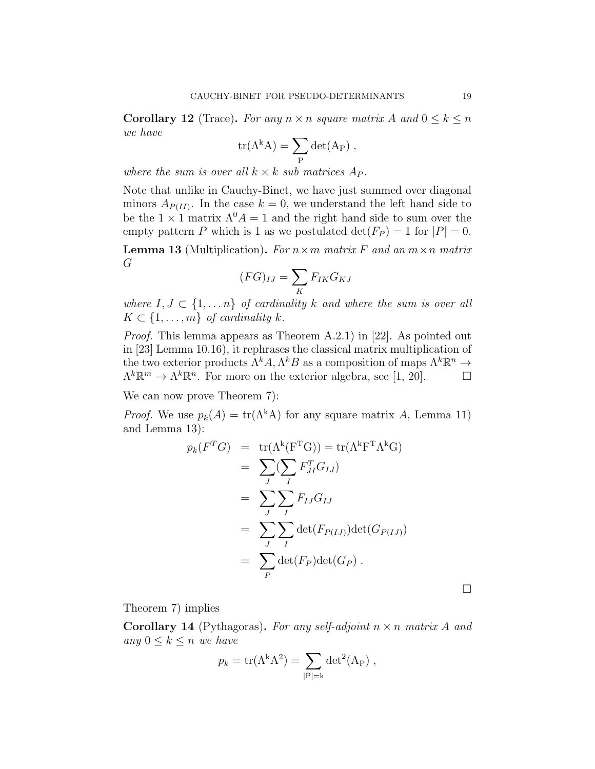**Corollary 12** (Trace). For any  $n \times n$  square matrix A and  $0 \leq k \leq n$ we have

$$
\mathrm{tr}(\Lambda^k A) = \sum_P \det(A_P) \;,
$$

where the sum is over all  $k \times k$  sub matrices  $A_P$ .

Note that unlike in Cauchy-Binet, we have just summed over diagonal minors  $A_{P(II)}$ . In the case  $k = 0$ , we understand the left hand side to be the  $1 \times 1$  matrix  $\Lambda^0 A = 1$  and the right hand side to sum over the empty pattern P which is 1 as we postulated  $\det(F_P) = 1$  for  $|P| = 0$ .

**Lemma 13** (Multiplication). For  $n \times m$  matrix F and an  $m \times n$  matrix G

$$
(FG)_{IJ} = \sum_K F_{IK} G_{KJ}
$$

where  $I, J \subset \{1, \ldots n\}$  of cardinality k and where the sum is over all  $K \subset \{1, \ldots, m\}$  of cardinality k.

Proof. This lemma appears as Theorem A.2.1) in [22]. As pointed out in [23] Lemma 10.16), it rephrases the classical matrix multiplication of the two exterior products  $\Lambda^k A, \Lambda^k B$  as a composition of maps  $\Lambda^k \mathbb{R}^n \to$  $\Lambda^k \mathbb{R}^m \to \Lambda^k \mathbb{R}^n$ . For more on the exterior algebra, see [1, 20].

We can now prove Theorem 7):

*Proof.* We use  $p_k(A) = \text{tr}(\Lambda^k A)$  for any square matrix A, Lemma 11) and Lemma 13):

$$
p_k(F^T G) = \text{tr}(\Lambda^k(F^T G)) = \text{tr}(\Lambda^k F^T \Lambda^k G)
$$
  
= 
$$
\sum_J (\sum_I F_{JI}^T G_{IJ})
$$
  
= 
$$
\sum_J \sum_I F_{IJ} G_{IJ}
$$
  
= 
$$
\sum_J \sum_I \text{det}(F_{P(IJ)}) \text{det}(G_{P(IJ)})
$$
  
= 
$$
\sum_P \text{det}(F_P) \text{det}(G_P).
$$

 $\Box$ 

Theorem 7) implies

**Corollary 14** (Pythagoras). For any self-adjoint  $n \times n$  matrix A and any  $0 \leq k \leq n$  we have

$$
p_k = \text{tr}(\Lambda^k A^2) = \sum_{|\mathbf{P}|=k} \det^2(\mathbf{A}_{\mathbf{P}}) ,
$$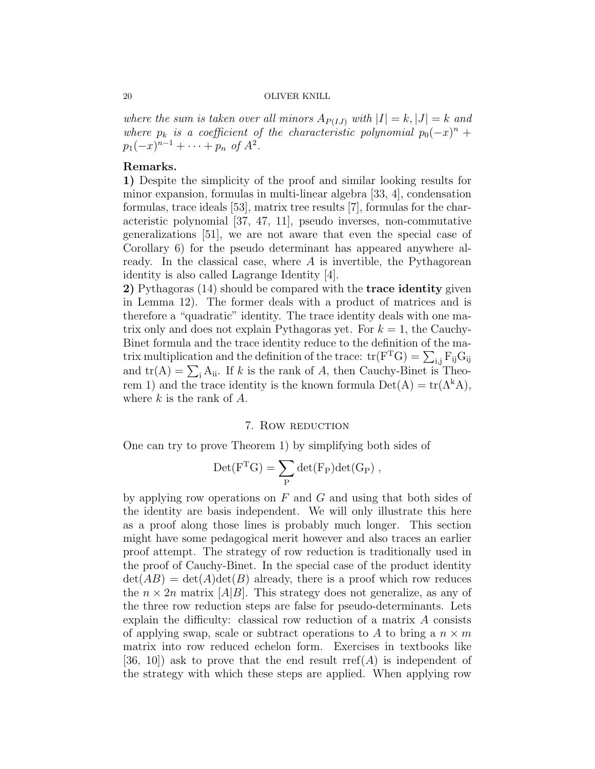where the sum is taken over all minors  $A_{P(I,J)}$  with  $|I|=k, |J|=k$  and where  $p_k$  is a coefficient of the characteristic polynomial  $p_0(-x)^n +$  $p_1(-x)^{n-1} + \cdots + p_n$  of  $A^2$ .

# Remarks.

1) Despite the simplicity of the proof and similar looking results for minor expansion, formulas in multi-linear algebra [33, 4], condensation formulas, trace ideals [53], matrix tree results [7], formulas for the characteristic polynomial [37, 47, 11], pseudo inverses, non-commutative generalizations [51], we are not aware that even the special case of Corollary 6) for the pseudo determinant has appeared anywhere already. In the classical case, where  $A$  is invertible, the Pythagorean identity is also called Lagrange Identity [4].

2) Pythagoras (14) should be compared with the **trace identity** given in Lemma 12). The former deals with a product of matrices and is therefore a "quadratic" identity. The trace identity deals with one matrix only and does not explain Pythagoras yet. For  $k = 1$ , the Cauchy-Binet formula and the trace identity reduce to the definition of the matrix multiplication and the definition of the trace:  $tr(F<sup>T</sup>G) = \sum_{i,j} F_{ij} G_{ij}$ and  $tr(A) = \sum_i A_{ii}$ . If k is the rank of A, then Cauchy-Binet is Theorem 1) and the trace identity is the known formula  $Det(A) = tr(A^kA)$ , where  $k$  is the rank of  $A$ .

#### 7. ROW REDUCTION

One can try to prove Theorem 1) by simplifying both sides of

$$
\mathrm{Det}(F^TG)=\sum_P \det(F_P)\det(G_P)\;,
$$

by applying row operations on  $F$  and  $G$  and using that both sides of the identity are basis independent. We will only illustrate this here as a proof along those lines is probably much longer. This section might have some pedagogical merit however and also traces an earlier proof attempt. The strategy of row reduction is traditionally used in the proof of Cauchy-Binet. In the special case of the product identity  $\det(AB) = \det(A)\det(B)$  already, there is a proof which row reduces the  $n \times 2n$  matrix [A|B]. This strategy does not generalize, as any of the three row reduction steps are false for pseudo-determinants. Lets explain the difficulty: classical row reduction of a matrix A consists of applying swap, scale or subtract operations to A to bring a  $n \times m$ matrix into row reduced echelon form. Exercises in textbooks like [36, 10]) ask to prove that the end result  $\text{rref}(A)$  is independent of the strategy with which these steps are applied. When applying row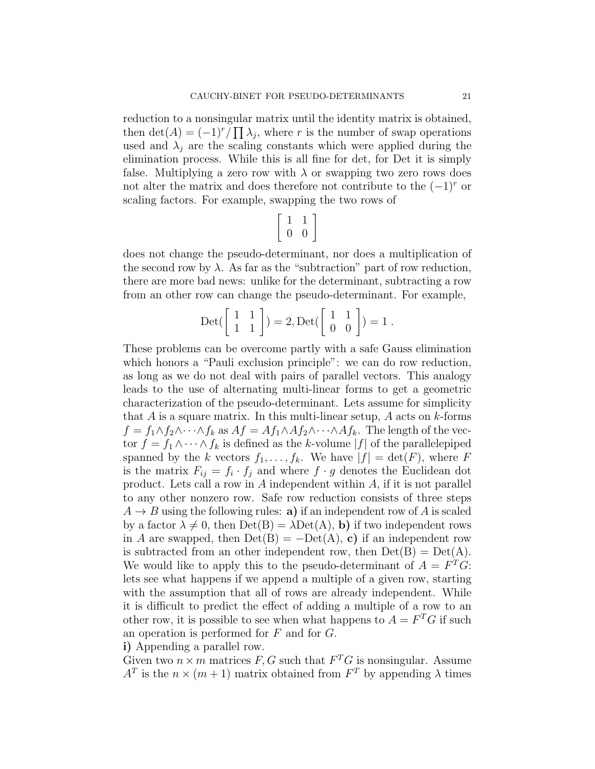reduction to a nonsingular matrix until the identity matrix is obtained, then  $\det(A) = (-1)^r / \prod \lambda_j$ , where r is the number of swap operations used and  $\lambda_i$  are the scaling constants which were applied during the elimination process. While this is all fine for det, for Det it is simply false. Multiplying a zero row with  $\lambda$  or swapping two zero rows does not alter the matrix and does therefore not contribute to the  $(-1)^r$  or scaling factors. For example, swapping the two rows of

$$
\left[\begin{array}{cc} 1 & 1 \\ 0 & 0 \end{array}\right]
$$

does not change the pseudo-determinant, nor does a multiplication of the second row by  $\lambda$ . As far as the "subtraction" part of row reduction, there are more bad news: unlike for the determinant, subtracting a row from an other row can change the pseudo-determinant. For example,

$$
Det\begin{pmatrix} 1 & 1 \ 1 & 1 \end{pmatrix} = 2, Det\begin{pmatrix} 1 & 1 \ 0 & 0 \end{pmatrix} = 1.
$$

These problems can be overcome partly with a safe Gauss elimination which honors a "Pauli exclusion principle": we can do row reduction, as long as we do not deal with pairs of parallel vectors. This analogy leads to the use of alternating multi-linear forms to get a geometric characterization of the pseudo-determinant. Lets assume for simplicity that  $A$  is a square matrix. In this multi-linear setup,  $A$  acts on  $k$ -forms  $f = f_1 \wedge f_2 \wedge \cdots \wedge f_k$  as  $Af = Af_1 \wedge Af_2 \wedge \cdots \wedge Af_k$ . The length of the vector  $f = f_1 \wedge \cdots \wedge f_k$  is defined as the k-volume  $|f|$  of the parallelepiped spanned by the k vectors  $f_1, \ldots, f_k$ . We have  $|f| = \det(F)$ , where F is the matrix  $F_{ij} = f_i \cdot f_j$  and where  $f \cdot g$  denotes the Euclidean dot product. Lets call a row in A independent within A, if it is not parallel to any other nonzero row. Safe row reduction consists of three steps  $A \rightarrow B$  using the following rules: **a**) if an independent row of A is scaled by a factor  $\lambda \neq 0$ , then  $Det(B) = \lambda Det(A)$ , b) if two independent rows in A are swapped, then  $Det(B) = Det(A), c$  if an independent row is subtracted from an other independent row, then  $Det(B) = Det(A)$ . We would like to apply this to the pseudo-determinant of  $A = F^T G$ : lets see what happens if we append a multiple of a given row, starting with the assumption that all of rows are already independent. While it is difficult to predict the effect of adding a multiple of a row to an other row, it is possible to see when what happens to  $A = F^T G$  if such an operation is performed for F and for G.

i) Appending a parallel row.

Given two  $n \times m$  matrices F, G such that  $F^T G$  is nonsingular. Assume  $A<sup>T</sup>$  is the  $n \times (m+1)$  matrix obtained from  $F<sup>T</sup>$  by appending  $\lambda$  times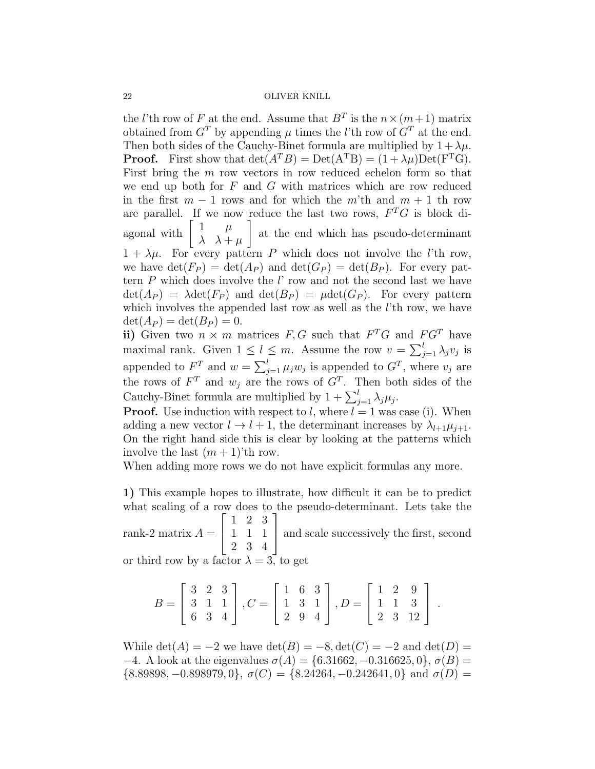the *l*'th row of F at the end. Assume that  $B<sup>T</sup>$  is the  $n \times (m+1)$  matrix obtained from  $G<sup>T</sup>$  by appending  $\mu$  times the *l*'th row of  $G<sup>T</sup>$  at the end. Then both sides of the Cauchy-Binet formula are multiplied by  $1 + \lambda \mu$ . **Proof.** First show that  $\det(A^T B) = \text{Det}(A^T B) = (1 + \lambda \mu) \text{Det}(F^T G)$ . First bring the m row vectors in row reduced echelon form so that we end up both for  $F$  and  $G$  with matrices which are row reduced in the first  $m-1$  rows and for which the m'th and  $m+1$  th row are parallel. If we now reduce the last two rows,  $F^T G$  is block diagonal with  $\begin{bmatrix} 1 & \mu \\ 1 & \mu \end{bmatrix}$  $\lambda \lambda + \mu$ 1 at the end which has pseudo-determinant  $1 + \lambda \mu$ . For every pattern P which does not involve the l'th row, we have  $\det(F_P) = \det(A_P)$  and  $\det(G_P) = \det(B_P)$ . For every pattern  $P$  which does involve the  $l'$  row and not the second last we have  $\det(A_P) = \lambda \det(F_P)$  and  $\det(B_P) = \mu \det(G_P)$ . For every pattern which involves the appended last row as well as the *l*'th row, we have  $\det(A_P) = \det(B_P) = 0.$ 

ii) Given two  $n \times m$  matrices  $F, G$  such that  $F^T G$  and  $F G^T$  have maximal rank. Given  $1 \leq l \leq m$ . Assume the row  $v = \sum_{j=1}^{l} \lambda_j v_j$  is appended to  $F^T$  and  $w = \sum_{j=1}^l \mu_j w_j$  is appended to  $G^T$ , where  $v_j$  are the rows of  $F^T$  and  $w_j$  are the rows of  $G^T$ . Then both sides of the Cauchy-Binet formula are multiplied by  $1 + \sum_{j=1}^{l} \lambda_j \mu_j$ .

**Proof.** Use induction with respect to l, where  $l = 1$  was case (i). When adding a new vector  $l \to l + 1$ , the determinant increases by  $\lambda_{l+1} \mu_{j+1}$ . On the right hand side this is clear by looking at the patterns which involve the last  $(m + 1)$ 'th row.

When adding more rows we do not have explicit formulas any more.

1) This example hopes to illustrate, how difficult it can be to predict what scaling of a row does to the pseudo-determinant. Lets take the  $\sqrt{ }$ 1 2 3 1

rank-2 matrix  $A =$  $\overline{1}$ 1 1 1 2 3 4 and scale successively the first, second

or third row by a factor  $\lambda = 3$ , to get

$$
B = \begin{bmatrix} 3 & 2 & 3 \\ 3 & 1 & 1 \\ 6 & 3 & 4 \end{bmatrix}, C = \begin{bmatrix} 1 & 6 & 3 \\ 1 & 3 & 1 \\ 2 & 9 & 4 \end{bmatrix}, D = \begin{bmatrix} 1 & 2 & 9 \\ 1 & 1 & 3 \\ 2 & 3 & 12 \end{bmatrix}.
$$

While  $\det(A) = -2$  we have  $\det(B) = -8$ ,  $\det(C) = -2$  and  $\det(D) =$ −4. A look at the eigenvalues  $\sigma(A) = \{6.31662, -0.316625, 0\}, \sigma(B) =$  $\{8.89898, -0.898979, 0\}, \sigma(C) = \{8.24264, -0.242641, 0\}$  and  $\sigma(D) =$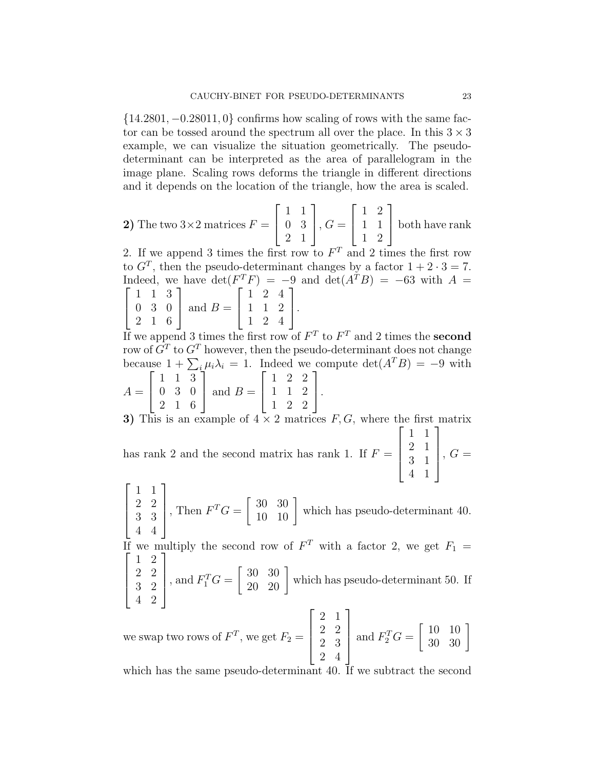{14.2801, −0.28011, 0} confirms how scaling of rows with the same factor can be tossed around the spectrum all over the place. In this  $3 \times 3$ example, we can visualize the situation geometrically. The pseudodeterminant can be interpreted as the area of parallelogram in the image plane. Scaling rows deforms the triangle in different directions and it depends on the location of the triangle, how the area is scaled.

**2)** The two 3×2 matrices 
$$
F = \begin{bmatrix} 1 & 1 \\ 0 & 3 \\ 2 & 1 \end{bmatrix}
$$
,  $G = \begin{bmatrix} 1 & 2 \\ 1 & 1 \\ 1 & 2 \end{bmatrix}$  both have rank

2. If we append 3 times the first row to  $F<sup>T</sup>$  and 2 times the first row to  $G<sup>T</sup>$ , then the pseudo-determinant changes by a factor  $1 + 2 \cdot 3 = 7$ . Indeed, we have  $\det(F^T F) = -9$  and  $\det(A^T B) = -63$  with  $A =$  $\lceil$  $\overline{1}$ 1 1 3 0 3 0 2 1 6 1 | and  $B =$  $\sqrt{ }$  $\overline{1}$ 1 2 4 1 1 2 1 2 4 1  $\vert \cdot$ 

If we append 3 times the first row of  $F<sup>T</sup>$  to  $F<sup>T</sup>$  and 2 times the **second** row of  $G<sup>T</sup>$  to  $G<sup>T</sup>$  however, then the pseudo-determinant does not change because  $1 + \sum_i \mu_i \lambda_i = 1$ . Indeed we compute  $\det(A^T B) = -9$  with  $\begin{bmatrix} 1 & 1 & 3 \end{bmatrix}$   $\begin{bmatrix} 1 & 2 & 2 \end{bmatrix}$ 

$$
A = \begin{bmatrix} 0 & 3 & 0 \\ 2 & 1 & 6 \end{bmatrix} \text{ and } B = \begin{bmatrix} 1 & 1 & 2 \\ 1 & 2 & 2 \end{bmatrix}.
$$

3) This is an example of  $4 \times 2$  matrices  $F, G$ , where the first matrix has rank 2 and the second matrix has rank 1. If  $F =$  $\sqrt{ }$  $\begin{matrix} \phantom{-} \end{matrix}$ 1 1 2 1 3 1 4 1 1  $\begin{matrix} \phantom{-} \end{matrix}$  $, G =$ 

 $\sqrt{ }$  $\Big\}$ 1 1 2 2 3 3 4 4 1  $\Bigg\}$ Then  $F^T G = \begin{bmatrix} 30 & 30 \\ 10 & 10 \end{bmatrix}$  which has pseudo-determinant 40.

If we multiply the second row of  $F<sup>T</sup>$  with a factor 2, we get  $F<sub>1</sub>$  =  $\begin{bmatrix} 1 & 2 \end{bmatrix}$ 1

$$
\begin{bmatrix} 2 & 2 \ 3 & 2 \ 4 & 2 \end{bmatrix}
$$
, and  $F_1^T G = \begin{bmatrix} 30 & 30 \ 20 & 20 \end{bmatrix}$  which has pseudo-determinant 50. If

we swap two rows of  $F^T$ , we get  $F_2 =$  $\sqrt{ }$  2 1 2 2 2 3 2 4 1  $\begin{matrix} \phantom{-} \end{matrix}$ and  $F_2^T G =$  $\left[\begin{array}{cc} 10 & 10 \\ 30 & 30 \end{array}\right]$ 

which has the same pseudo-determinant 40. If we subtract the second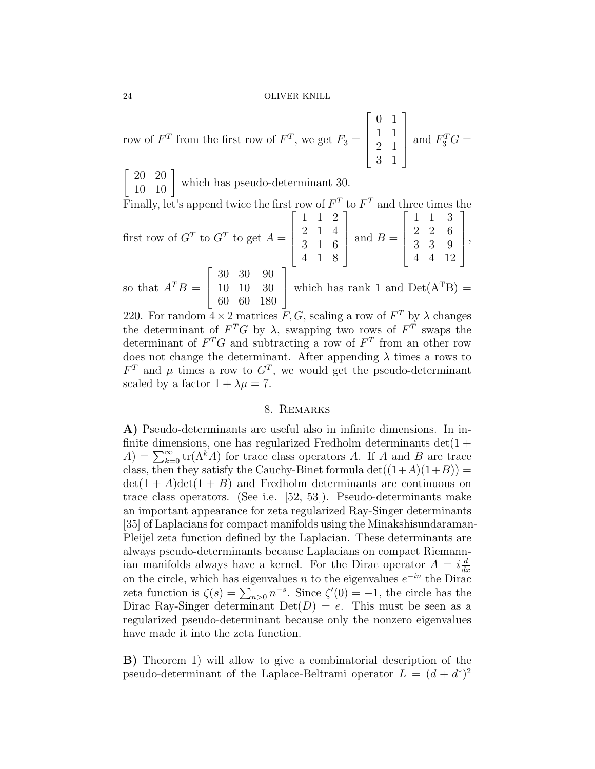row of  $F^T$  from the first row of  $F^T$ , we get  $F_3 =$  $\lceil$  $\Big\}$ 0 1 1 1 2 1 3 1 1  $\begin{matrix} \phantom{-} \end{matrix}$ and  $F_3^T G =$ 

 $\begin{bmatrix} 20 & 20 \\ 10 & 10 \end{bmatrix}$  which has pseudo-determinant 30.

Finally, let's append twice the first row of  $F<sup>T</sup>$  to  $F<sup>T</sup>$  and three times the

first row of 
$$
G^T
$$
 to  $G^T$  to get  $A = \begin{bmatrix} 1 & 1 & 2 \\ 2 & 1 & 4 \\ 3 & 1 & 6 \\ 4 & 1 & 8 \end{bmatrix}$  and  $B = \begin{bmatrix} 1 & 1 & 3 \\ 2 & 2 & 6 \\ 3 & 3 & 9 \\ 4 & 4 & 12 \end{bmatrix}$ ,  
so that  $A^T B = \begin{bmatrix} 30 & 30 & 90 \\ 10 & 10 & 30 \\ 60 & 60 & 180 \end{bmatrix}$  which has rank 1 and  $Det(A^T B) =$ 

,

220. For random  $4 \times 2$  matrices  $\overline{F}$ ,  $G$ , scaling a row of  $F<sup>T</sup>$  by  $\lambda$  changes the determinant of  $F^T G$  by  $\lambda$ , swapping two rows of  $F^T$  swaps the determinant of  $F^T G$  and subtracting a row of  $F^T$  from an other row does not change the determinant. After appending  $\lambda$  times a rows to  $F<sup>T</sup>$  and  $\mu$  times a row to  $G<sup>T</sup>$ , we would get the pseudo-determinant scaled by a factor  $1 + \lambda \mu = 7$ .

# 8. Remarks

A) Pseudo-determinants are useful also in infinite dimensions. In infinite dimensions, one has regularized Fredholm determinants  $det(1 +$  $A) = \sum_{k=0}^{\infty} \text{tr}(\Lambda^k A)$  for trace class operators A. If A and B are trace class, then they satisfy the Cauchy-Binet formula  $\det((1+A)(1+B)) =$  $\det(1+A)\det(1+B)$  and Fredholm determinants are continuous on trace class operators. (See i.e. [52, 53]). Pseudo-determinants make an important appearance for zeta regularized Ray-Singer determinants [35] of Laplacians for compact manifolds using the Minakshisundaraman-Pleijel zeta function defined by the Laplacian. These determinants are always pseudo-determinants because Laplacians on compact Riemannian manifolds always have a kernel. For the Dirac operator  $A = i\frac{d}{dt}$ on the circle, which has eigenvalues *n* to the eigenvalues  $e^{-in}$  the Dirac operator  $\frac{d}{dt}$ zeta function is  $\zeta(s) = \sum_{n>0} n^{-s}$ . Since  $\zeta'(0) = -1$ , the circle has the Dirac Ray-Singer determinant  $Det(D) = e$ . This must be seen as a regularized pseudo-determinant because only the nonzero eigenvalues have made it into the zeta function.

B) Theorem 1) will allow to give a combinatorial description of the pseudo-determinant of the Laplace-Beltrami operator  $L = (d + d^*)^2$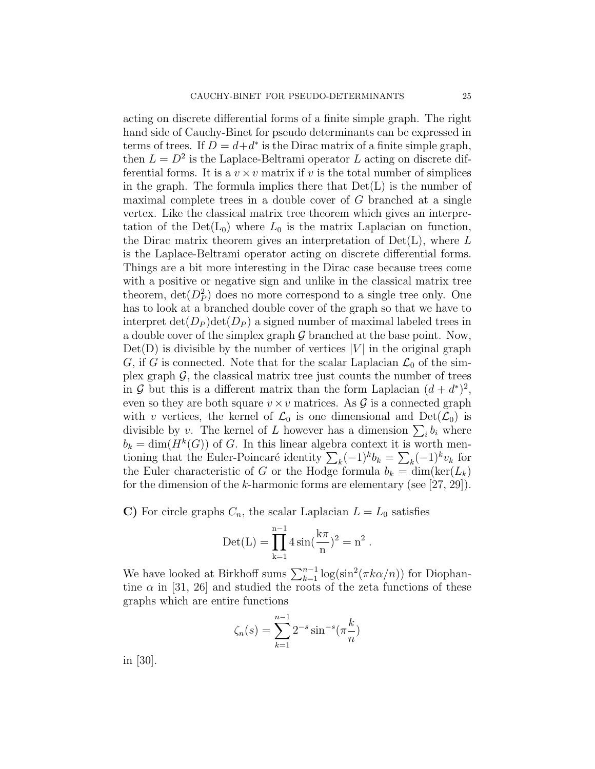acting on discrete differential forms of a finite simple graph. The right hand side of Cauchy-Binet for pseudo determinants can be expressed in terms of trees. If  $D = d + d^*$  is the Dirac matrix of a finite simple graph, then  $L = D^2$  is the Laplace-Beltrami operator L acting on discrete differential forms. It is a  $v \times v$  matrix if v is the total number of simplices in the graph. The formula implies there that  $Det(L)$  is the number of maximal complete trees in a double cover of  $G$  branched at a single vertex. Like the classical matrix tree theorem which gives an interpretation of the  $Det(L_0)$  where  $L_0$  is the matrix Laplacian on function, the Dirac matrix theorem gives an interpretation of  $Det(L)$ , where L is the Laplace-Beltrami operator acting on discrete differential forms. Things are a bit more interesting in the Dirac case because trees come with a positive or negative sign and unlike in the classical matrix tree theorem,  $\det(D_P^2)$  does no more correspond to a single tree only. One has to look at a branched double cover of the graph so that we have to interpret  $\det(D_P) \det(D_P)$  a signed number of maximal labeled trees in a double cover of the simplex graph  $\mathcal G$  branched at the base point. Now,  $Det(D)$  is divisible by the number of vertices |V| in the original graph G, if G is connected. Note that for the scalar Laplacian  $\mathcal{L}_0$  of the simplex graph  $\mathcal{G}$ , the classical matrix tree just counts the number of trees in G but this is a different matrix than the form Laplacian  $(d + d^*)^2$ , even so they are both square  $v \times v$  matrices. As  $\mathcal G$  is a connected graph with v vertices, the kernel of  $\mathcal{L}_0$  is one dimensional and  $Det(\mathcal{L}_0)$  is divisible by v. The kernel of L however has a dimension  $\sum_i b_i$  where  $b_k = \dim(H^k(G))$  of G. In this linear algebra context it is worth mentioning that the Euler-Poincaré identity  $\sum_k (-1)^k b_k = \sum_k (-1)^k v_k$  for the Euler characteristic of G or the Hodge formula  $b_k = \dim(\ker(L_k))$ for the dimension of the k-harmonic forms are elementary (see  $[27, 29]$ ).

C) For circle graphs  $C_n$ , the scalar Laplacian  $L = L_0$  satisfies

$$
Det(L) = \prod_{k=1}^{n-1} 4 \sin(\frac{k\pi}{n})^2 = n^2.
$$

We have looked at Birkhoff sums  $\sum_{k=1}^{n-1} \log(\sin^2(\pi k \alpha/n))$  for Diophantine  $\alpha$  in [31, 26] and studied the roots of the zeta functions of these graphs which are entire functions

$$
\zeta_n(s) = \sum_{k=1}^{n-1} 2^{-s} \sin^{-s}(\pi \frac{k}{n})
$$

in [30].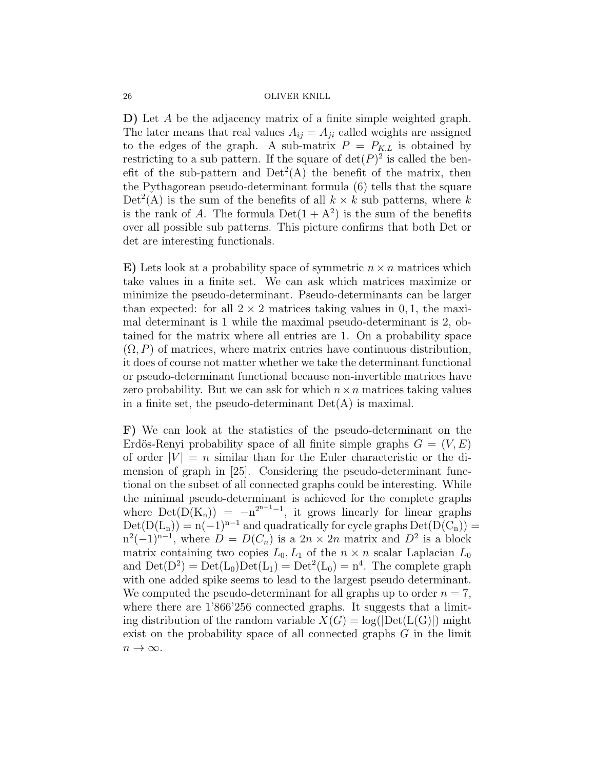D) Let A be the adjacency matrix of a finite simple weighted graph. The later means that real values  $A_{ij} = A_{ji}$  called weights are assigned to the edges of the graph. A sub-matrix  $P = P_{K,L}$  is obtained by restricting to a sub pattern. If the square of  $\det(P)^2$  is called the benefit of the sub-pattern and  $Det<sup>2</sup>(A)$  the benefit of the matrix, then the Pythagorean pseudo-determinant formula (6) tells that the square  $Det<sup>2</sup>(A)$  is the sum of the benefits of all  $k \times k$  sub patterns, where k is the rank of A. The formula  $Det(1 + A^2)$  is the sum of the benefits over all possible sub patterns. This picture confirms that both Det or det are interesting functionals.

E) Lets look at a probability space of symmetric  $n \times n$  matrices which take values in a finite set. We can ask which matrices maximize or minimize the pseudo-determinant. Pseudo-determinants can be larger than expected: for all  $2 \times 2$  matrices taking values in 0, 1, the maximal determinant is 1 while the maximal pseudo-determinant is 2, obtained for the matrix where all entries are 1. On a probability space  $(\Omega, P)$  of matrices, where matrix entries have continuous distribution, it does of course not matter whether we take the determinant functional or pseudo-determinant functional because non-invertible matrices have zero probability. But we can ask for which  $n \times n$  matrices taking values in a finite set, the pseudo-determinant  $Det(A)$  is maximal.

F) We can look at the statistics of the pseudo-determinant on the Erdös-Renyi probability space of all finite simple graphs  $G = (V, E)$ of order  $|V| = n$  similar than for the Euler characteristic or the dimension of graph in [25]. Considering the pseudo-determinant functional on the subset of all connected graphs could be interesting. While the minimal pseudo-determinant is achieved for the complete graphs where  $Det(D(K_n)) = -n^{2^{n-1}-1}$ , it grows linearly for linear graphs  $Det(D(L_n)) = n(-1)^{n-1}$  and quadratically for cycle graphs  $Det(D(C_n))$  $n^2(-1)^{n-1}$ , where  $D = D(C_n)$  is a  $2n \times 2n$  matrix and  $D^2$  is a block matrix containing two copies  $L_0, L_1$  of the  $n \times n$  scalar Laplacian  $L_0$ and  $Det(D^2) = Det(L_0)Det(L_1) = Det^2(L_0) = n^4$ . The complete graph with one added spike seems to lead to the largest pseudo determinant. We computed the pseudo-determinant for all graphs up to order  $n = 7$ , where there are  $1'866'256$  connected graphs. It suggests that a limiting distribution of the random variable  $X(G) = \log(|\text{Det}(L(G)|))$  might exist on the probability space of all connected graphs  $G$  in the limit  $n \to \infty$ .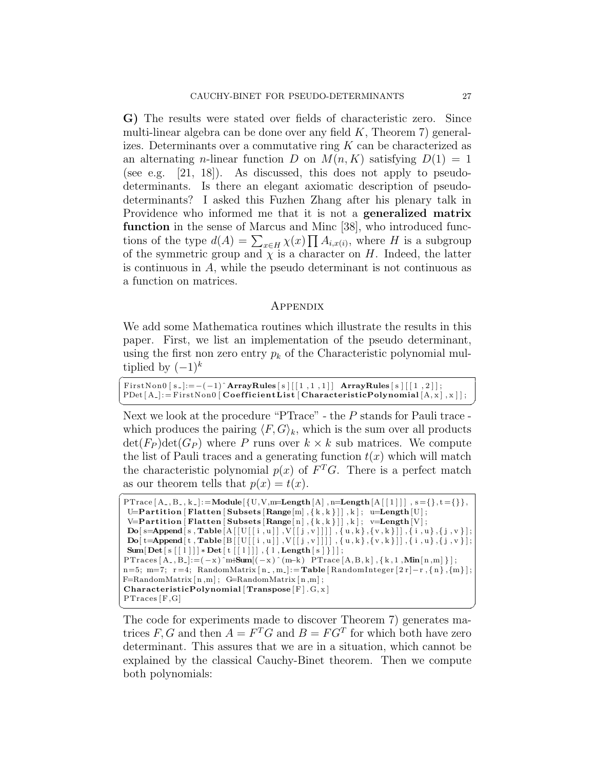G) The results were stated over fields of characteristic zero. Since multi-linear algebra can be done over any field  $K$ , Theorem 7) generalizes. Determinants over a commutative ring  $K$  can be characterized as an alternating *n*-linear function D on  $M(n, K)$  satisfying  $D(1) = 1$ (see e.g. [21, 18]). As discussed, this does not apply to pseudodeterminants. Is there an elegant axiomatic description of pseudodeterminants? I asked this Fuzhen Zhang after his plenary talk in Providence who informed me that it is not a generalized matrix function in the sense of Marcus and Minc [38], who introduced functions of the type  $d(A) = \sum_{x \in H} \chi(x) \prod A_{i,x(i)}$ , where H is a subgroup of the symmetric group and  $\chi$  is a character on H. Indeed, the latter is continuous in  $A$ , while the pseudo determinant is not continuous as a function on matrices.

#### Appendix

We add some Mathematica routines which illustrate the results in this paper. First, we list an implementation of the pseudo determinant, using the first non zero entry  $p_k$  of the Characteristic polynomial multiplied by  $(-1)^k$ 

 $\overline{a}$ FirstNon0  $[s_-] := -(-1)^{\hat{ }}$  ArrayRules  $[s] [[1,1,1]]$  ArrayRules  $[s] [[1,2]]$ ;  $PDet[A_{-}]:= FirstNon0 [CoefficientList] CharacteristicPolynomial [A, x], x]];$ ✝ ✆

Next we look at the procedure "PTrace" - the P stands for Pauli trace which produces the pairing  $\langle F, G \rangle_k$ , which is the sum over all products  $\det(F_P) \det(G_P)$  where P runs over  $k \times k$  sub matrices. We compute the list of Pauli traces and a generating function  $t(x)$  which will match the characteristic polynomial  $p(x)$  of  $F<sup>T</sup>G$ . There is a perfect match as our theorem tells that  $p(x) = t(x)$ .

```
\overbrace{\text{PTrace} \ [\text{A}_{-}, \text{B}_{-}, \text{k-}]:=\text{Module}[\{\text{U}, \text{V}, \text{m}=\text{Length} \ [\text{A}] \ , \text{n}=\text{Length} \ [\text{A} \ [\ [1] \ ] \ , \ \text{s}=\{\}, \text{t}=\{\} \},U=Partition [ Flatten [ Subsets [ Range[m], \{k, k\}]], k]; u=Length [U];
  \verb|V=Partition\verb|[Flatten|[Subsets\verb|Range[n],\{k,k\}]]\>, k]; \verb| v=Length[V];\text{Do}[\text{ s}=\text{Append}[\text{ s} , \text{Table}[\text{A}[[\text{U}[[i, \text{u}]], \text{V}[[j, \text{v}]]]], \{\text{u}, \text{k}\}, \{\text{v}, \text{k}\}]], \{\text{i}, \text{u}\}, \{\text{j}, \text{v}\}];\textbf{Do}[\ t = \textbf{Append}[\ t \text{ , Table } [B\text{ }][\text{ }U\text{ }][\ i \text{ , }u \text{ }],\text{ }V\text{ }[[\ j \text{ , }v \text{ }]]\text{ }],\{\text{u},\text{k}\},\{\text{v},\text{k}\}]]\text{ ,}\{\text{i}\text{ , }u\},\{\text{j}\text{ , }v\}\text{ }];Sum[Det[s[[1]]] * Det[t[[1]]], \{ 1, Length[s] \} ]];\text{PTraces} \ [\ \text{A}_{-}, \text{B}_{-} ]\!:=\! (-\text{x}) \ \text{``m+Sum} \big[ (-\text{x}) \ \text{``(m-k)} \ \ \text{PTrace} \ [\ \text{A}, \text{B}, \text{k} \ ] \ , \{ \ \text{k}, \text{1}, \text{Min} \ [\ \text{n}, \text{m} \ ] \ \big\} \big] \, ;n=5; m=7; r=4; RandomMatrix [n_-,m_-]:=\textbf{Table} [RandomInteger [2r]-r, {n}, {m}] ;F=RandomMatrix[n,m]; G=RandomMatrix[n,m];CharacteristicPolynomial [Transpose [F]. G, x]PTraces [F,G]
✝ ✆
```
The code for experiments made to discover Theorem 7) generates matrices  $F, G$  and then  $A = F^T G$  and  $B = FG^T$  for which both have zero determinant. This assures that we are in a situation, which cannot be explained by the classical Cauchy-Binet theorem. Then we compute both polynomials: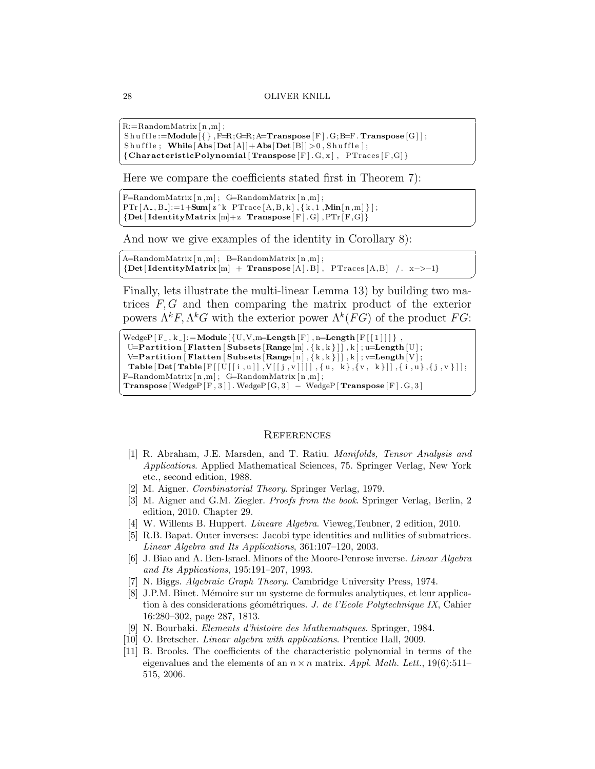$\overline{\phantom{a}}$   $\overline{\phantom{a}}$   $\overline{\phantom{a}}$   $\overline{\phantom{a}}$   $\overline{\phantom{a}}$   $\overline{\phantom{a}}$   $\overline{\phantom{a}}$   $\overline{\phantom{a}}$   $\overline{\phantom{a}}$   $\overline{\phantom{a}}$   $\overline{\phantom{a}}$   $\overline{\phantom{a}}$   $\overline{\phantom{a}}$   $\overline{\phantom{a}}$   $\overline{\phantom{a}}$   $\overline{\phantom{a}}$   $\overline{\phantom{a}}$   $\overline{\phantom{a}}$   $\overline{\$ 

 $\frac{1}{\sqrt{2}}$   $\frac{1}{\sqrt{2}}$   $\frac{1}{\sqrt{2}}$   $\frac{1}{\sqrt{2}}$   $\frac{1}{\sqrt{2}}$   $\frac{1}{\sqrt{2}}$   $\frac{1}{\sqrt{2}}$   $\frac{1}{\sqrt{2}}$   $\frac{1}{\sqrt{2}}$   $\frac{1}{\sqrt{2}}$   $\frac{1}{\sqrt{2}}$   $\frac{1}{\sqrt{2}}$   $\frac{1}{\sqrt{2}}$   $\frac{1}{\sqrt{2}}$   $\frac{1}{\sqrt{2}}$   $\frac{1}{\sqrt{2}}$   $\frac{1}{\sqrt{2}}$ 

```
R:=RandomMatrix [n,m];
```

```
Sh u f f l e :=Module\{\}\, F=R;G=R;A=Transpose [F] . G;B=F. Transpose [G] ;
Shuffle; While [Abs[Det[A]]+Abs[Det[B]]>0, Shuffle;
{CharacteristicPolynomial [Transpose [F]. G, x], PTraces [F,G]}
```
Here we compare the coefficients stated first in Theorem 7):

```
\boxed{\text{F=RandomMatrix} \mid n,m}; \ \text{G=RandomMatrix} \mid n,m;PTr[A_-, B_-]:=1+Sum[z^k PTrace[A, B, k], \{k, 1, Min[n, m]\}],{Det}[IdentityMatrix [m]+z Transpose [F]. G], PTr [F, G]}
```
And now we give examples of the identity in Corollary 8):

```
\widehat{A}=RandomMatrix [n,m]; B=RandomMatrix [n,m];
 { \{Det | \; IdentityMatrix[m] \; + \; Transpose[A].B \} , \; PTraces[A.B] \; / \; x->-1 \} }\frac{1}{\sqrt{2}} \frac{1}{\sqrt{2}} \frac{1}{\sqrt{2}} \frac{1}{\sqrt{2}} \frac{1}{\sqrt{2}} \frac{1}{\sqrt{2}} \frac{1}{\sqrt{2}} \frac{1}{\sqrt{2}} \frac{1}{\sqrt{2}} \frac{1}{\sqrt{2}} \frac{1}{\sqrt{2}} \frac{1}{\sqrt{2}} \frac{1}{\sqrt{2}} \frac{1}{\sqrt{2}} \frac{1}{\sqrt{2}} \frac{1}{\sqrt{2}} \frac{1}{\sqrt{2}}
```
Finally, lets illustrate the multi-linear Lemma 13) by building two matrices  $F, G$  and then comparing the matrix product of the exterior powers  $\Lambda^k F$ ,  $\Lambda^k G$  with the exterior power  $\Lambda^k(FG)$  of the product  $FG$ :

```
\sqrt{\text{WedgeP}[\text{F}_{-,k-}]:=\text{Module}[\{\text{U},\text{V},\text{m}=\text{Length}[\text{F}],\text{n}=\text{Length}[\text{F}[[1]]]\},U=Partition [ Flatten [ Subsets [ Range[m], \{k, k\}] ], k ]; u=Length [U];
   \verb|V=Partition|\label{def:rel} {\small \textbf{Future}}\left[\textbf{Subset}\left[n\right],\left\{\textcolor{red}{k}\,,\textcolor{red}{k}\,\right\}]\right],\textcolor{red}{k}\mid\textcolor{red}{; \textbf{v}=\textbf{Length}\left[V\right];}Table [Det[Table [F[[U[[i,u]],V[[j],v]]]], \{u, k\}, \{v, k\}]] , \{i, u\}, \{j, v\}]];
 F=RandomMatrix[n,m]; G=RandomMatrix[n,m];\bf Transpose\left[ \, WedgeP\left[ \, F \, , \, 3 \, \right] \, \right] \, . \, WedgeP\left[ \, G \, , \, 3 \, \right] \,\, \text{ \quad \  WedgeP\left[ \, \text{Transpose}\left[ \, F \, \right] \, . \, G \, , \, 3 \, \right] }
```
✝ ✆

#### **REFERENCES**

- [1] R. Abraham, J.E. Marsden, and T. Ratiu. Manifolds, Tensor Analysis and Applications. Applied Mathematical Sciences, 75. Springer Verlag, New York etc., second edition, 1988.
- [2] M. Aigner. Combinatorial Theory. Springer Verlag, 1979.
- [3] M. Aigner and G.M. Ziegler. Proofs from the book. Springer Verlag, Berlin, 2 edition, 2010. Chapter 29.
- [4] W. Willems B. Huppert. Lineare Algebra. Vieweg,Teubner, 2 edition, 2010.
- [5] R.B. Bapat. Outer inverses: Jacobi type identities and nullities of submatrices. Linear Algebra and Its Applications, 361:107–120, 2003.
- [6] J. Biao and A. Ben-Israel. Minors of the Moore-Penrose inverse. Linear Algebra and Its Applications, 195:191–207, 1993.
- [7] N. Biggs. Algebraic Graph Theory. Cambridge University Press, 1974.
- [8] J.P.M. Binet. Mémoire sur un systeme de formules analytiques, et leur application à des considerations géométriques. J. de l'Ecole Polytechnique IX, Cahier 16:280–302, page 287, 1813.
- [9] N. Bourbaki. Elements d'histoire des Mathematiques. Springer, 1984.
- [10] O. Bretscher. *Linear algebra with applications*. Prentice Hall, 2009.
- [11] B. Brooks. The coefficients of the characteristic polynomial in terms of the eigenvalues and the elements of an  $n \times n$  matrix. Appl. Math. Lett., 19(6):511– 515, 2006.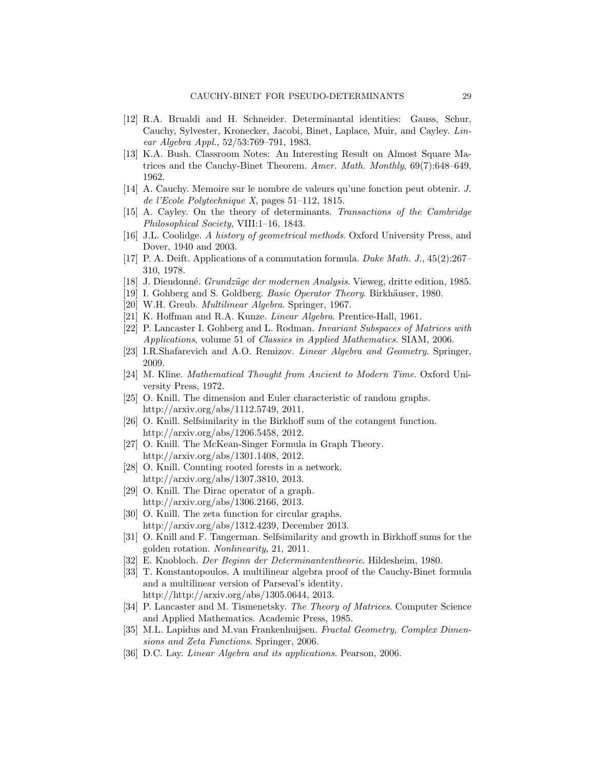- [12] R.A. Brualdi and H. Schneider. Determinantal identities: Gauss, Schur, Cauchy, Sylvester, Kronecker, Jacobi, Binet, Laplace, Muir, and Cayley. Linear Algebra Appl., 52/53:769–791, 1983.
- [13] K.A. Bush. Classroom Notes: An Interesting Result on Almost Square Matrices and the Cauchy-Binet Theorem. Amer. Math. Monthly, 69(7):648–649, 1962.
- [14] A. Cauchy. Memoire sur le nombre de valeurs qu'une fonction peut obtenir. J. de l'Ecole Polytechnique X, pages 51–112, 1815.
- [15] A. Cayley. On the theory of determinants. Transactions of the Cambridge Philosophical Society, VIII:1–16, 1843.
- [16] J.L. Coolidge. A history of geometrical methods. Oxford University Press, and Dover, 1940 and 2003.
- [17] P. A. Deift. Applications of a commutation formula. Duke Math. J., 45(2):267– 310, 1978.
- [18] J. Dieudonné. Grundzüge der modernen Analysis. Vieweg, dritte edition, 1985.
- [19] I. Gohberg and S. Goldberg. Basic Operator Theory. Birkhäuser, 1980.
- [20] W.H. Greub. Multilinear Algebra. Springer, 1967.
- [21] K. Hoffman and R.A. Kunze. *Linear Algebra*. Prentice-Hall, 1961.
- [22] P. Lancaster I. Gohberg and L. Rodman. Invariant Subspaces of Matrices with Applications, volume 51 of Classics in Applied Mathematics. SIAM, 2006.
- [23] I.R.Shafarevich and A.O. Remizov. Linear Algebra and Geometry. Springer, 2009.
- [24] M. Kline. Mathematical Thought from Ancient to Modern Time. Oxford University Press, 1972.
- [25] O. Knill. The dimension and Euler characteristic of random graphs. http://arxiv.org/abs/1112.5749, 2011.
- [26] O. Knill. Selfsimilarity in the Birkhoff sum of the cotangent function. http://arxiv.org/abs/1206.5458, 2012.
- [27] O. Knill. The McKean-Singer Formula in Graph Theory. http://arxiv.org/abs/1301.1408, 2012.
- [28] O. Knill. Counting rooted forests in a network. http://arxiv.org/abs/1307.3810, 2013.
- [29] O. Knill. The Dirac operator of a graph. http://arxiv.org/abs/1306.2166, 2013.
- [30] O. Knill. The zeta function for circular graphs. http://arxiv.org/abs/1312.4239, December 2013.
- [31] O. Knill and F. Tangerman. Selfsimilarity and growth in Birkhoff sums for the golden rotation. Nonlinearity, 21, 2011.
- [32] E. Knobloch. Der Beginn der Determinantentheorie. Hildesheim, 1980.
- [33] T. Konstantopoulos. A multilinear algebra proof of the Cauchy-Binet formula and a multilinear version of Parseval's identity. http://http://arxiv.org/abs/1305.0644, 2013.
- [34] P. Lancaster and M. Tismenetsky. The Theory of Matrices. Computer Science and Applied Mathematics. Academic Press, 1985.
- [35] M.L. Lapidus and M.van Frankenhuijsen. Fractal Geometry, Complex Dimensions and Zeta Functions. Springer, 2006.
- [36] D.C. Lay. Linear Algebra and its applications. Pearson, 2006.